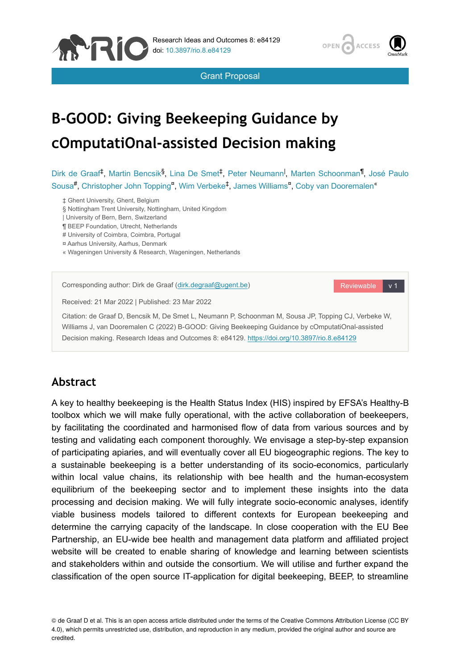





# **B-GOOD: Giving Beekeeping Guidance by cOmputatiOnal-assisted Decision making**

Dirk de Graaf<sup>‡</sup>, Martin Bencsik<sup>§</sup>, Lina De Smet<sup>‡</sup>, Peter Neumann<sup>I</sup>, Marten Schoonman<sup>¶</sup>, José Paulo Sousa<sup>#</sup>, Christopher John Topping<sup>n</sup>, Wim Verbeke<sup>‡</sup>, James Williams<sup>n</sup>, Coby van Dooremalen<sup>«</sup>

- ‡ Ghent University, Ghent, Belgium
- § Nottingham Trent University, Nottingham, United Kingdom
- | University of Bern, Bern, Switzerland
- ¶ BEEP Foundation, Utrecht, Netherlands
- # University of Coimbra, Coimbra, Portugal
- ¤ Aarhus University, Aarhus, Denmark
- « Wageningen University & Research, Wageningen, Netherlands

Corresponding author: Dirk de Graaf [\(dirk.degraaf@ugent.be\)](mailto:dirk.degraaf@ugent.be) Received: 21 Mar 2022 | Published: 23 Mar 2022 Citation: de Graaf D, Bencsik M, De Smet L, Neumann P, Schoonman M, Sousa JP, Topping CJ, Verbeke W, Williams J, van Dooremalen C (2022) B-GOOD: Giving Beekeeping Guidance by cOmputatiOnal-assisted Decision making. Research Ideas and Outcomes 8: e84129. <https://doi.org/10.3897/rio.8.e84129>

# **Abstract**

A key to healthy beekeeping is the Health Status Index (HIS) inspired by EFSA's Healthy-B toolbox which we will make fully operational, with the active collaboration of beekeepers, by facilitating the coordinated and harmonised flow of data from various sources and by testing and validating each component thoroughly. We envisage a step-by-step expansion of participating apiaries, and will eventually cover all EU biogeographic regions. The key to a sustainable beekeeping is a better understanding of its socio-economics, particularly within local value chains, its relationship with bee health and the human-ecosystem equilibrium of the beekeeping sector and to implement these insights into the data processing and decision making. We will fully integrate socio-economic analyses, identify viable business models tailored to different contexts for European beekeeping and determine the carrying capacity of the landscape. In close cooperation with the EU Bee Partnership, an EU-wide bee health and management data platform and affiliated project website will be created to enable sharing of knowledge and learning between scientists and stakeholders within and outside the consortium. We will utilise and further expand the classification of the open source IT-application for digital beekeeping, BEEP, to streamline

© de Graaf D et al. This is an open access article distributed under the terms of the Creative Commons Attribution License (CC BY 4.0), which permits unrestricted use, distribution, and reproduction in any medium, provided the original author and source are credited.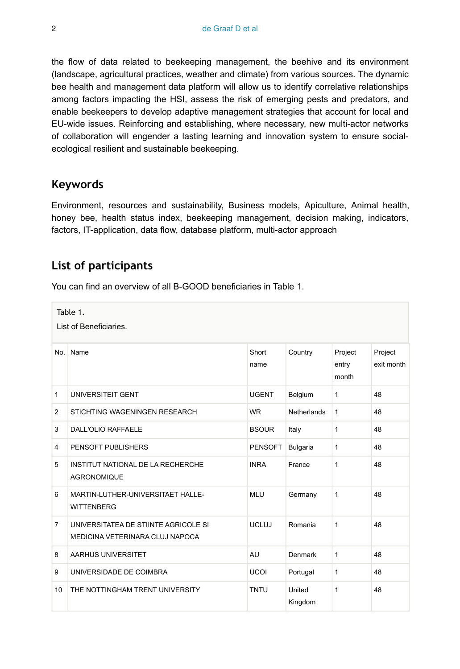the flow of data related to beekeeping management, the beehive and its environment (landscape, agricultural practices, weather and climate) from various sources. The dynamic bee health and management data platform will allow us to identify correlative relationships among factors impacting the HSI, assess the risk of emerging pests and predators, and enable beekeepers to develop adaptive management strategies that account for local and EU-wide issues. Reinforcing and establishing, where necessary, new multi-actor networks of collaboration will engender a lasting learning and innovation system to ensure socialecological resilient and sustainable beekeeping.

# **Keywords**

Environment, resources and sustainability, Business models, Apiculture, Animal health, honey bee, health status index, beekeeping management, decision making, indicators, factors, IT-application, data flow, database platform, multi-actor approach

## **List of participants**

You can find an overview of all B-GOOD beneficiaries in Table [1.](#page-1-0)

<span id="page-1-0"></span>No. Name Short name Country Project entry month Project exit month 1 UNIVERSITEIT GENT 1 1 48 2 STICHTING WAGENINGEN RESEARCH WR Netherlands 1 48 3 DALL'OLIO RAFFAELE BSOUR Italy 1 48 4 PENSOFT PUBLISHERS PENSOFT Bulgaria 1 48 5 INSTITUT NATIONAL DE LA RECHERCHE **AGRONOMIQUE** INRA France 1 48 6 MARTIN-LUTHER-UNIVERSITAET HALLE-**WITTENBERG** MLU Germany 1 48 7 UNIVERSITATEA DE STIINTE AGRICOLE SI MEDICINA VETERINARA CLUJ NAPOCA UCLUJ Romania 1 48 8 AARHUS UNIVERSITET AU AU Denmark 1 48 9 UNIVERSIDADE DE COIMBRA UCOI Portugal 1 48 10 THE NOTTINGHAM TRENT UNIVERSITY TNTU United Kingdom 1 48 Table 1. List of Beneficiaries.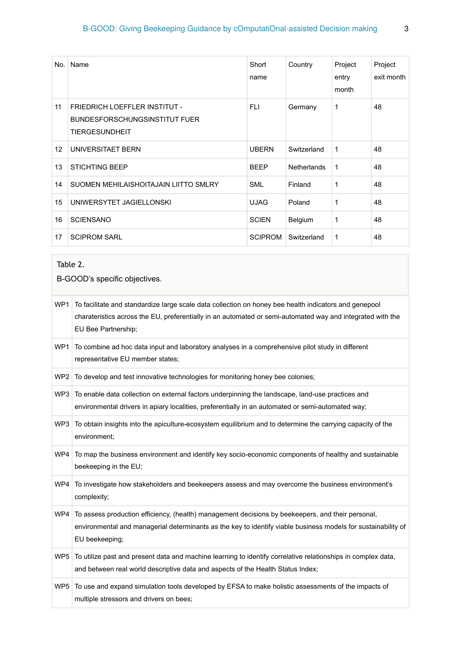| No. | Name                                                                                           | Short<br>name  | Country     | Project<br>entry<br>month | Project<br>exit month |
|-----|------------------------------------------------------------------------------------------------|----------------|-------------|---------------------------|-----------------------|
| 11  | FRIEDRICH LOEFFLER INSTITUT -<br><b>BUNDESFORSCHUNGSINSTITUT FUER</b><br><b>TIERGESUNDHEIT</b> | <b>FLI</b>     | Germany     | 1                         | 48                    |
| 12  | UNIVERSITAET BERN                                                                              | <b>UBERN</b>   | Switzerland | 1                         | 48                    |
| 13  | <b>STICHTING BEEP</b>                                                                          | <b>BEEP</b>    | Netherlands | 1                         | 48                    |
| 14  | SUOMEN MEHILAISHOITAJAIN LIITTO SMLRY                                                          | <b>SML</b>     | Finland     | 1                         | 48                    |
| 15  | UNIWERSYTET JAGIELLONSKI                                                                       | <b>UJAG</b>    | Poland      | 1                         | 48                    |
| 16  | <b>SCIENSANO</b>                                                                               | <b>SCIEN</b>   | Belgium     | 1                         | 48                    |
| 17  | <b>SCIPROM SARL</b>                                                                            | <b>SCIPROM</b> | Switzerland | 1                         | 48                    |

## <span id="page-2-0"></span>Table 2.

B-GOOD's specific objectives.

| WP1             | To facilitate and standardize large scale data collection on honey bee health indicators and genepool<br>charateristics across the EU, preferentially in an automated or semi-automated way and integrated with the<br>EU Bee Partnership; |
|-----------------|--------------------------------------------------------------------------------------------------------------------------------------------------------------------------------------------------------------------------------------------|
| WP1             | To combine ad hoc data input and laboratory analyses in a comprehensive pilot study in different<br>representative EU member states;                                                                                                       |
| WP <sub>2</sub> | To develop and test innovative technologies for monitoring honey bee colonies;                                                                                                                                                             |
| WP3             | To enable data collection on external factors underpinning the landscape, land-use practices and<br>environmental drivers in apiary localities, preferentially in an automated or semi-automated way;                                      |
| WP3             | To obtain insights into the apiculture-ecosystem equilibrium and to determine the carrying capacity of the<br>environment;                                                                                                                 |
| WP4             | To map the business environment and identify key socio-economic components of healthy and sustainable<br>beekeeping in the EU;                                                                                                             |
| WP4             | To investigate how stakeholders and beekeepers assess and may overcome the business environment's<br>complexity;                                                                                                                           |
| WP4             | To assess production efficiency, (health) management decisions by beekeepers, and their personal,<br>environmental and managerial determinants as the key to identify viable business models for sustainability of<br>EU beekeeping;       |
| WP <sub>5</sub> | To utilize past and present data and machine learning to identify correlative relationships in complex data,<br>and between real world descriptive data and aspects of the Health Status Index;                                            |
|                 | WP5 To use and expand simulation tools developed by EFSA to make holistic assessments of the impacts of<br>multiple stressors and drivers on bees;                                                                                         |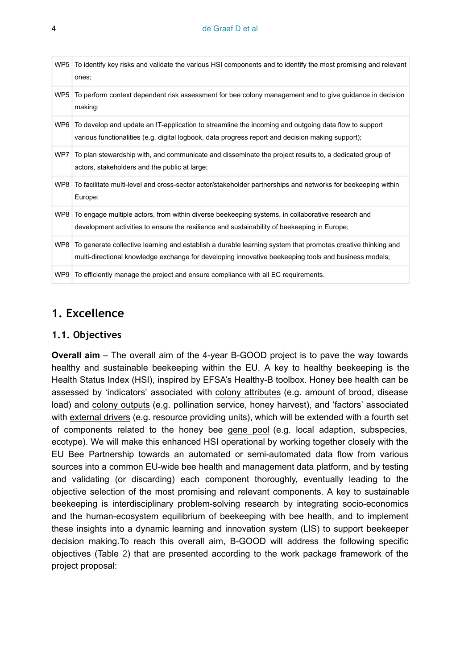#### 4 de Graaf D et al

| WP5             | To identify key risks and validate the various HSI components and to identify the most promising and relevant<br>ones;                                                                                              |
|-----------------|---------------------------------------------------------------------------------------------------------------------------------------------------------------------------------------------------------------------|
| WP <sub>5</sub> | To perform context dependent risk assessment for bee colony management and to give guidance in decision<br>making;                                                                                                  |
| WP6             | To develop and update an IT-application to streamline the incoming and outgoing data flow to support<br>various functionalities (e.g. digital logbook, data progress report and decision making support);           |
| WP7             | To plan stewardship with, and communicate and disseminate the project results to, a dedicated group of<br>actors, stakeholders and the public at large;                                                             |
|                 | WP8 To facilitate multi-level and cross-sector actor/stakeholder partnerships and networks for beekeeping within<br>Europe;                                                                                         |
| WP8             | To engage multiple actors, from within diverse beekeeping systems, in collaborative research and<br>development activities to ensure the resilience and sustainability of beekeeping in Europe;                     |
| WP8             | To generate collective learning and establish a durable learning system that promotes creative thinking and<br>multi-directional knowledge exchange for developing innovative beekeeping tools and business models; |
| WP9             | To efficiently manage the project and ensure compliance with all EC requirements.                                                                                                                                   |
|                 |                                                                                                                                                                                                                     |

## **1. Excellence**

#### **1.1. Objectives**

**Overall aim** – The overall aim of the 4-year B-GOOD project is to pave the way towards healthy and sustainable beekeeping within the EU. A key to healthy beekeeping is the Health Status Index (HSI), inspired by EFSA's Healthy-B toolbox. Honey bee health can be assessed by 'indicators' associated with colony attributes (e.g. amount of brood, disease load) and colony outputs (e.g. pollination service, honey harvest), and 'factors' associated with external drivers (e.g. resource providing units), which will be extended with a fourth set of components related to the honey bee gene pool (e.g. local adaption, subspecies, ecotype). We will make this enhanced HSI operational by working together closely with the EU Bee Partnership towards an automated or semi-automated data flow from various sources into a common EU-wide bee health and management data platform, and by testing and validating (or discarding) each component thoroughly, eventually leading to the objective selection of the most promising and relevant components. A key to sustainable beekeeping is interdisciplinary problem-solving research by integrating socio-economics and the human-ecosystem equilibrium of beekeeping with bee health, and to implement these insights into a dynamic learning and innovation system (LIS) to support beekeeper decision making.To reach this overall aim, B-GOOD will address the following specific objectives (Table [2](#page-2-0)) that are presented according to the work package framework of the project proposal: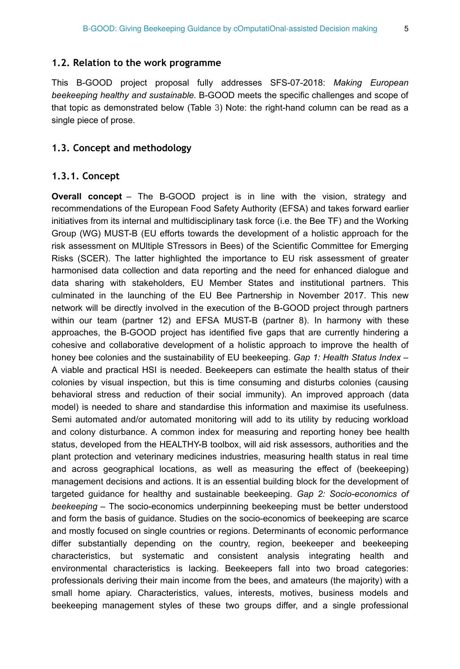#### **1.2. Relation to the work programme**

This B-GOOD project proposal fully addresses SFS-07-2018: *Making European beekeeping healthy and sustainable.* B-GOOD meets the specific challenges and scope of that topic as demonstrated below (Table [3](#page-5-0)) Note: the right-hand column can be read as a single piece of prose.

#### **1.3. Concept and methodology**

#### **1.3.1. Concept**

**Overall concept** – The B-GOOD project is in line with the vision, strategy and recommendations of the European Food Safety Authority (EFSA) and takes forward earlier initiatives from its internal and multidisciplinary task force (i.e. the Bee TF) and the Working Group (WG) MUST-B (EU efforts towards the development of a holistic approach for the risk assessment on MUltiple STressors in Bees) of the Scientific Committee for Emerging Risks (SCER). The latter highlighted the importance to EU risk assessment of greater harmonised data collection and data reporting and the need for enhanced dialogue and data sharing with stakeholders, EU Member States and institutional partners. This culminated in the launching of the EU Bee Partnership in November 2017. This new network will be directly involved in the execution of the B-GOOD project through partners within our team (partner 12) and EFSA MUST-B (partner 8). In harmony with these approaches, the B-GOOD project has identified five gaps that are currently hindering a cohesive and collaborative development of a holistic approach to improve the health of honey bee colonies and the sustainability of EU beekeeping. *Gap 1: Health Status Index* – A viable and practical HSI is needed. Beekeepers can estimate the health status of their colonies by visual inspection, but this is time consuming and disturbs colonies (causing behavioral stress and reduction of their social immunity). An improved approach (data model) is needed to share and standardise this information and maximise its usefulness. Semi automated and/or automated monitoring will add to its utility by reducing workload and colony disturbance. A common index for measuring and reporting honey bee health status, developed from the HEALTHY-B toolbox, will aid risk assessors, authorities and the plant protection and veterinary medicines industries, measuring health status in real time and across geographical locations, as well as measuring the effect of (beekeeping) management decisions and actions. It is an essential building block for the development of targeted guidance for healthy and sustainable beekeeping. *Gap 2: Socio-economics of beekeeping* – The socio-economics underpinning beekeeping must be better understood and form the basis of guidance. Studies on the socio-economics of beekeeping are scarce and mostly focused on single countries or regions. Determinants of economic performance differ substantially depending on the country, region, beekeeper and beekeeping characteristics, but systematic and consistent analysis integrating health and environmental characteristics is lacking. Beekeepers fall into two broad categories: professionals deriving their main income from the bees, and amateurs (the majority) with a small home apiary. Characteristics, values, interests, motives, business models and beekeeping management styles of these two groups differ, and a single professional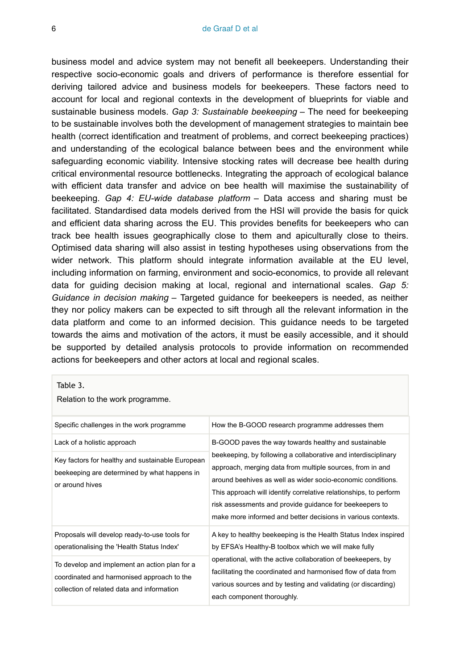business model and advice system may not benefit all beekeepers. Understanding their respective socio-economic goals and drivers of performance is therefore essential for deriving tailored advice and business models for beekeepers. These factors need to account for local and regional contexts in the development of blueprints for viable and sustainable business models. *Gap 3: Sustainable beekeeping* – The need for beekeeping to be sustainable involves both the development of management strategies to maintain bee health (correct identification and treatment of problems, and correct beekeeping practices) and understanding of the ecological balance between bees and the environment while safeguarding economic viability. Intensive stocking rates will decrease bee health during critical environmental resource bottlenecks. Integrating the approach of ecological balance with efficient data transfer and advice on bee health will maximise the sustainability of beekeeping. *Gap 4: EU-wide database platform* – Data access and sharing must be facilitated. Standardised data models derived from the HSI will provide the basis for quick and efficient data sharing across the EU. This provides benefits for beekeepers who can track bee health issues geographically close to them and apiculturally close to theirs. Optimised data sharing will also assist in testing hypotheses using observations from the wider network. This platform should integrate information available at the EU level, including information on farming, environment and socio-economics, to provide all relevant data for guiding decision making at local, regional and international scales. *Gap 5: Guidance in decision making* – Targeted guidance for beekeepers is needed, as neither they nor policy makers can be expected to sift through all the relevant information in the data platform and come to an informed decision. This guidance needs to be targeted towards the aims and motivation of the actors, it must be easily accessible, and it should be supported by detailed analysis protocols to provide information on recommended actions for beekeepers and other actors at local and regional scales.

#### <span id="page-5-0"></span>Table 3.

Relation to the work programme.

| Specific challenges in the work programme                                                                                                 | How the B-GOOD research programme addresses them                                                                                                                                                                                                                                                                                                                                           |  |  |
|-------------------------------------------------------------------------------------------------------------------------------------------|--------------------------------------------------------------------------------------------------------------------------------------------------------------------------------------------------------------------------------------------------------------------------------------------------------------------------------------------------------------------------------------------|--|--|
| Lack of a holistic approach                                                                                                               | B-GOOD paves the way towards healthy and sustainable                                                                                                                                                                                                                                                                                                                                       |  |  |
| Key factors for healthy and sustainable European<br>beekeeping are determined by what happens in<br>or around hives                       | beekeeping, by following a collaborative and interdisciplinary<br>approach, merging data from multiple sources, from in and<br>around beehives as well as wider socio-economic conditions.<br>This approach will identify correlative relationships, to perform<br>risk assessments and provide quidance for beekeepers to<br>make more informed and better decisions in various contexts. |  |  |
| Proposals will develop ready-to-use tools for<br>operationalising the 'Health Status Index'                                               | A key to healthy beekeeping is the Health Status Index inspired<br>by EFSA's Healthy-B toolbox which we will make fully                                                                                                                                                                                                                                                                    |  |  |
| To develop and implement an action plan for a<br>coordinated and harmonised approach to the<br>collection of related data and information | operational, with the active collaboration of beekeepers, by<br>facilitating the coordinated and harmonised flow of data from<br>various sources and by testing and validating (or discarding)<br>each component thoroughly.                                                                                                                                                               |  |  |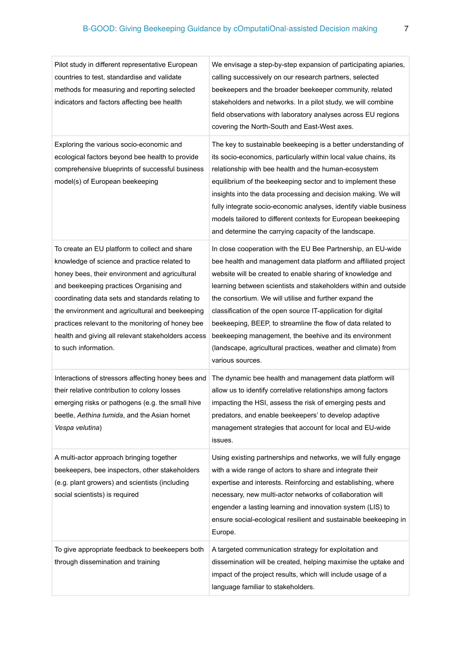| Pilot study in different representative European<br>countries to test, standardise and validate<br>methods for measuring and reporting selected<br>indicators and factors affecting bee health                                                                                                                                                                                                                                       | We envisage a step-by-step expansion of participating apiaries,<br>calling successively on our research partners, selected<br>beekeepers and the broader beekeeper community, related<br>stakeholders and networks. In a pilot study, we will combine<br>field observations with laboratory analyses across EU regions<br>covering the North-South and East-West axes.                                                                                                                                                                                                                                  |
|--------------------------------------------------------------------------------------------------------------------------------------------------------------------------------------------------------------------------------------------------------------------------------------------------------------------------------------------------------------------------------------------------------------------------------------|---------------------------------------------------------------------------------------------------------------------------------------------------------------------------------------------------------------------------------------------------------------------------------------------------------------------------------------------------------------------------------------------------------------------------------------------------------------------------------------------------------------------------------------------------------------------------------------------------------|
| Exploring the various socio-economic and<br>ecological factors beyond bee health to provide<br>comprehensive blueprints of successful business<br>model(s) of European beekeeping                                                                                                                                                                                                                                                    | The key to sustainable beekeeping is a better understanding of<br>its socio-economics, particularly within local value chains, its<br>relationship with bee health and the human-ecosystem<br>equilibrium of the beekeeping sector and to implement these<br>insights into the data processing and decision making. We will<br>fully integrate socio-economic analyses, identify viable business<br>models tailored to different contexts for European beekeeping<br>and determine the carrying capacity of the landscape.                                                                              |
| To create an EU platform to collect and share<br>knowledge of science and practice related to<br>honey bees, their environment and agricultural<br>and beekeeping practices Organising and<br>coordinating data sets and standards relating to<br>the environment and agricultural and beekeeping<br>practices relevant to the monitoring of honey bee<br>health and giving all relevant stakeholders access<br>to such information. | In close cooperation with the EU Bee Partnership, an EU-wide<br>bee health and management data platform and affiliated project<br>website will be created to enable sharing of knowledge and<br>learning between scientists and stakeholders within and outside<br>the consortium. We will utilise and further expand the<br>classification of the open source IT-application for digital<br>beekeeping, BEEP, to streamline the flow of data related to<br>beekeeping management, the beehive and its environment<br>(landscape, agricultural practices, weather and climate) from<br>various sources. |
| Interactions of stressors affecting honey bees and<br>their relative contribution to colony losses<br>emerging risks or pathogens (e.g. the small hive<br>beetle, Aethina tumida, and the Asian hornet<br>Vespa velutina)                                                                                                                                                                                                            | The dynamic bee health and management data platform will<br>allow us to identify correlative relationships among factors<br>impacting the HSI, assess the risk of emerging pests and<br>predators, and enable beekeepers' to develop adaptive<br>management strategies that account for local and EU-wide<br>issues.                                                                                                                                                                                                                                                                                    |
| A multi-actor approach bringing together<br>beekeepers, bee inspectors, other stakeholders<br>(e.g. plant growers) and scientists (including<br>social scientists) is required                                                                                                                                                                                                                                                       | Using existing partnerships and networks, we will fully engage<br>with a wide range of actors to share and integrate their<br>expertise and interests. Reinforcing and establishing, where<br>necessary, new multi-actor networks of collaboration will<br>engender a lasting learning and innovation system (LIS) to<br>ensure social-ecological resilient and sustainable beekeeping in<br>Europe.                                                                                                                                                                                                    |
| To give appropriate feedback to beekeepers both<br>through dissemination and training                                                                                                                                                                                                                                                                                                                                                | A targeted communication strategy for exploitation and<br>dissemination will be created, helping maximise the uptake and<br>impact of the project results, which will include usage of a<br>language familiar to stakeholders.                                                                                                                                                                                                                                                                                                                                                                          |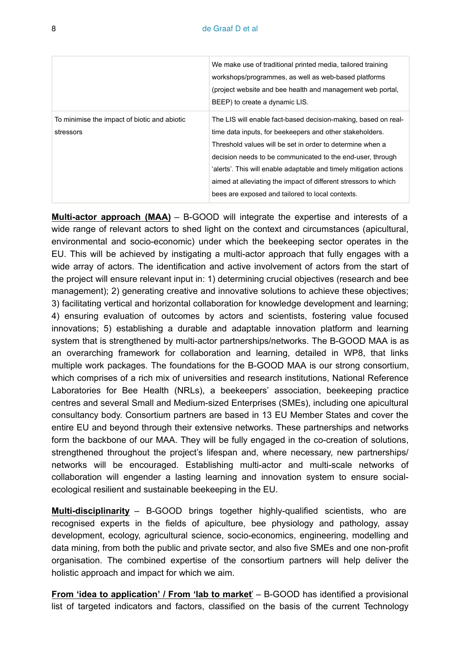|                                                           | We make use of traditional printed media, tailored training<br>workshops/programmes, as well as web-based platforms<br>(project website and bee health and management web portal,<br>BEEP) to create a dynamic LIS.                                                                                                                                                                                                                                |
|-----------------------------------------------------------|----------------------------------------------------------------------------------------------------------------------------------------------------------------------------------------------------------------------------------------------------------------------------------------------------------------------------------------------------------------------------------------------------------------------------------------------------|
| To minimise the impact of biotic and abiotic<br>stressors | The LIS will enable fact-based decision-making, based on real-<br>time data inputs, for beekeepers and other stakeholders.<br>Threshold values will be set in order to determine when a<br>decision needs to be communicated to the end-user, through<br>'alerts'. This will enable adaptable and timely mitigation actions<br>aimed at alleviating the impact of different stressors to which<br>bees are exposed and tailored to local contexts. |

**Multi-actor approach (MAA)** – B-GOOD will integrate the expertise and interests of a wide range of relevant actors to shed light on the context and circumstances (apicultural, environmental and socio-economic) under which the beekeeping sector operates in the EU. This will be achieved by instigating a multi-actor approach that fully engages with a wide array of actors. The identification and active involvement of actors from the start of the project will ensure relevant input in: 1) determining crucial objectives (research and bee management); 2) generating creative and innovative solutions to achieve these objectives; 3) facilitating vertical and horizontal collaboration for knowledge development and learning; 4) ensuring evaluation of outcomes by actors and scientists, fostering value focused innovations; 5) establishing a durable and adaptable innovation platform and learning system that is strengthened by multi-actor partnerships/networks. The B-GOOD MAA is as an overarching framework for collaboration and learning, detailed in WP8, that links multiple work packages. The foundations for the B-GOOD MAA is our strong consortium, which comprises of a rich mix of universities and research institutions, National Reference Laboratories for Bee Health (NRLs), a beekeepers' association, beekeeping practice centres and several Small and Medium-sized Enterprises (SMEs), including one apicultural consultancy body. Consortium partners are based in 13 EU Member States and cover the entire EU and beyond through their extensive networks. These partnerships and networks form the backbone of our MAA. They will be fully engaged in the co-creation of solutions, strengthened throughout the project's lifespan and, where necessary, new partnerships/ networks will be encouraged. Establishing multi-actor and multi-scale networks of collaboration will engender a lasting learning and innovation system to ensure socialecological resilient and sustainable beekeeping in the EU.

**Multi-disciplinarity** – B-GOOD brings together highly-qualified scientists, who are recognised experts in the fields of apiculture, bee physiology and pathology, assay development, ecology, agricultural science, socio-economics, engineering, modelling and data mining, from both the public and private sector, and also five SMEs and one non-profit organisation. The combined expertise of the consortium partners will help deliver the holistic approach and impact for which we aim.

**From 'idea to application' / From 'lab to market**' – B-GOOD has identified a provisional list of targeted indicators and factors, classified on the basis of the current Technology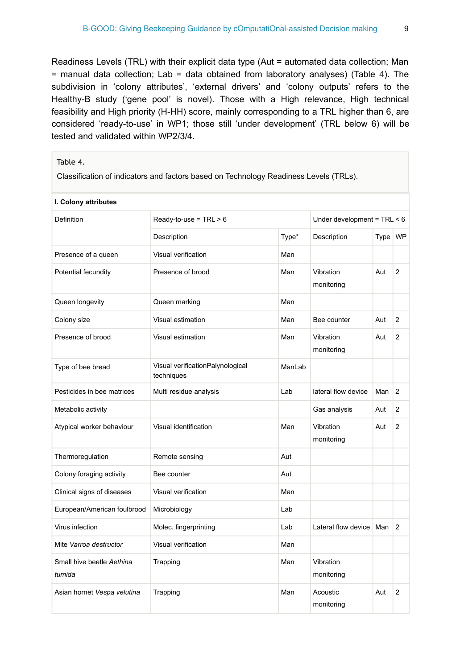Readiness Levels (TRL) with their explicit data type (Aut = automated data collection; Man = manual data collection; Lab = data obtained from laboratory analyses) (Table [4](#page-8-0)). The subdivision in 'colony attributes', 'external drivers' and 'colony outputs' refers to the Healthy-B study ('gene pool' is novel). Those with a High relevance, High technical feasibility and High priority (H-HH) score, mainly corresponding to a TRL higher than 6, are considered 'ready-to-use' in WP1; those still 'under development' (TRL below 6) will be tested and validated within WP2/3/4.

#### <span id="page-8-0"></span>Table 4.

Classification of indicators and factors based on Technology Readiness Levels (TRLs).

| I. Colony attributes                |                                                |        |                               |         |                |
|-------------------------------------|------------------------------------------------|--------|-------------------------------|---------|----------------|
| Definition                          | $Readv-to-use = TRL > 6$                       |        | Under development = $TRL < 6$ |         |                |
|                                     | Description                                    | Type*  | Description                   | Type WP |                |
| Presence of a queen                 | Visual verification                            | Man    |                               |         |                |
| Potential fecundity                 | Presence of brood                              | Man    | Vibration<br>monitoring       | Aut     | $\overline{2}$ |
| Queen longevity                     | Queen marking                                  | Man    |                               |         |                |
| Colony size                         | Visual estimation                              | Man    | Bee counter                   | Aut     | 2              |
| Presence of brood                   | Visual estimation                              | Man    | Vibration<br>monitoring       | Aut     | $\overline{2}$ |
| Type of bee bread                   | Visual verificationPalynological<br>techniques | ManLab |                               |         |                |
| Pesticides in bee matrices          | Multi residue analysis                         | Lab    | lateral flow device           | Man     | 2              |
| Metabolic activity                  |                                                |        | Gas analysis                  | Aut     | 2              |
| Atypical worker behaviour           | Visual identification                          | Man    | Vibration<br>monitoring       | Aut     | 2              |
| Thermoregulation                    | Remote sensing                                 | Aut    |                               |         |                |
| Colony foraging activity            | Bee counter                                    | Aut    |                               |         |                |
| Clinical signs of diseases          | Visual verification                            | Man    |                               |         |                |
| European/American foulbrood         | Microbiology                                   | Lab    |                               |         |                |
| Virus infection                     | Molec. fingerprinting                          | Lab    | Lateral flow device           | Man     | $\mathcal{P}$  |
| Mite Varroa destructor              | Visual verification                            | Man    |                               |         |                |
| Small hive beetle Aethina<br>tumida | Trapping                                       | Man    | Vibration<br>monitoring       |         |                |
| Asian hornet Vespa velutina         | Trapping                                       | Man    | Acoustic<br>monitoring        | Aut     | 2              |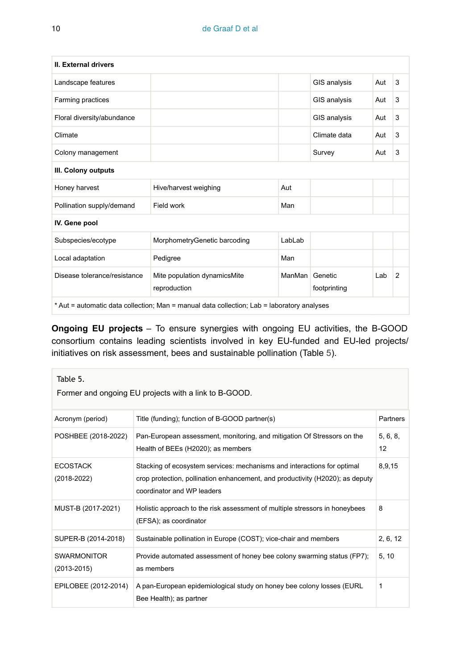| <b>II. External drivers</b>                                                                |                                              |        |                         |     |                |
|--------------------------------------------------------------------------------------------|----------------------------------------------|--------|-------------------------|-----|----------------|
| Landscape features                                                                         |                                              |        | GIS analysis            | Aut | 3              |
| Farming practices                                                                          |                                              |        | GIS analysis            | Aut | 3              |
| Floral diversity/abundance                                                                 |                                              |        | GIS analysis            | Aut | 3              |
| Climate                                                                                    |                                              |        | Climate data            | Aut | 3              |
| Colony management                                                                          |                                              |        | Survey                  | Aut | 3              |
| III. Colony outputs                                                                        |                                              |        |                         |     |                |
| Honey harvest                                                                              | Hive/harvest weighing                        | Aut    |                         |     |                |
| Pollination supply/demand                                                                  | Field work                                   | Man    |                         |     |                |
| IV. Gene pool                                                                              |                                              |        |                         |     |                |
| Subspecies/ecotype                                                                         | MorphometryGenetic barcoding                 | LabLab |                         |     |                |
| Local adaptation                                                                           | Pedigree                                     | Man    |                         |     |                |
| Disease tolerance/resistance                                                               | Mite population dynamicsMite<br>reproduction | ManMan | Genetic<br>footprinting | Lab | $\overline{2}$ |
| * Aut = automatic data collection; Man = manual data collection; Lab = laboratory analyses |                                              |        |                         |     |                |

**Ongoing EU projects** – To ensure synergies with ongoing EU activities, the B-GOOD consortium contains leading scientists involved in key EU-funded and EU-led projects/ initiatives on risk assessment, bees and sustainable pollination (Table [5\)](#page-9-0).

<span id="page-9-0"></span>

| Table 5.<br>Former and ongoing EU projects with a link to B-GOOD. |                                                                                                                                                                                        |                |  |
|-------------------------------------------------------------------|----------------------------------------------------------------------------------------------------------------------------------------------------------------------------------------|----------------|--|
| Acronym (period)                                                  | Title (funding); function of B-GOOD partner(s)                                                                                                                                         | Partners       |  |
| POSHBEE (2018-2022)                                               | Pan-European assessment, monitoring, and mitigation Of Stressors on the<br>Health of BEEs (H2020); as members                                                                          | 5, 6, 8,<br>12 |  |
| <b>ECOSTACK</b><br>(2018-2022)                                    | Stacking of ecosystem services: mechanisms and interactions for optimal<br>crop protection, pollination enhancement, and productivity (H2020); as deputy<br>coordinator and WP leaders | 8,9,15         |  |
| MUST-B (2017-2021)                                                | Holistic approach to the risk assessment of multiple stressors in honeybees<br>(EFSA); as coordinator                                                                                  | 8              |  |
| SUPER-B (2014-2018)                                               | Sustainable pollination in Europe (COST); vice-chair and members                                                                                                                       | 2, 6, 12       |  |
| <b>SWARMONITOR</b><br>$(2013 - 2015)$                             | Provide automated assessment of honey bee colony swarming status (FP7);<br>as members                                                                                                  | 5, 10          |  |
| EPILOBEE (2012-2014)                                              | A pan-European epidemiological study on honey bee colony losses (EURL)<br>Bee Health); as partner                                                                                      | 1              |  |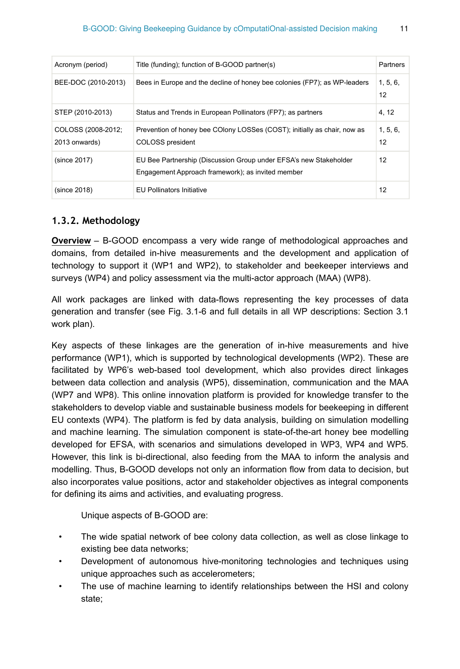| Acronym (period)                    | Title (funding); function of B-GOOD partner(s)                                                                         | Partners       |
|-------------------------------------|------------------------------------------------------------------------------------------------------------------------|----------------|
| BEE-DOC (2010-2013)                 | Bees in Europe and the decline of honey bee colonies (FP7); as WP-leaders                                              | 1, 5, 6,<br>12 |
| STEP (2010-2013)                    | Status and Trends in European Pollinators (FP7); as partners                                                           | 4, 12          |
| COLOSS (2008-2012;<br>2013 onwards) | Prevention of honey bee COlony LOSSes (COST); initially as chair, now as<br>COLOSS president                           | 1, 5, 6,<br>12 |
| (since 2017)                        | EU Bee Partnership (Discussion Group under EFSA's new Stakeholder<br>Engagement Approach framework); as invited member | 12             |
| (since 2018)                        | <b>EU Pollinators Initiative</b>                                                                                       | 12             |

#### **1.3.2. Methodology**

**Overview** – B-GOOD encompass a very wide range of methodological approaches and domains, from detailed in-hive measurements and the development and application of technology to support it (WP1 and WP2), to stakeholder and beekeeper interviews and surveys (WP4) and policy assessment via the multi-actor approach (MAA) (WP8).

All work packages are linked with data-flows representing the key processes of data generation and transfer (see Fig. 3.1-6 and full details in all WP descriptions: Section 3.1 work plan).

Key aspects of these linkages are the generation of in-hive measurements and hive performance (WP1), which is supported by technological developments (WP2). These are facilitated by WP6's web-based tool development, which also provides direct linkages between data collection and analysis (WP5), dissemination, communication and the MAA (WP7 and WP8). This online innovation platform is provided for knowledge transfer to the stakeholders to develop viable and sustainable business models for beekeeping in different EU contexts (WP4). The platform is fed by data analysis, building on simulation modelling and machine learning. The simulation component is state-of-the-art honey bee modelling developed for EFSA, with scenarios and simulations developed in WP3, WP4 and WP5. However, this link is bi-directional, also feeding from the MAA to inform the analysis and modelling. Thus, B-GOOD develops not only an information flow from data to decision, but also incorporates value positions, actor and stakeholder objectives as integral components for defining its aims and activities, and evaluating progress.

Unique aspects of B-GOOD are:

- The wide spatial network of bee colony data collection, as well as close linkage to existing bee data networks;
- Development of autonomous hive-monitoring technologies and techniques using unique approaches such as accelerometers;
- The use of machine learning to identify relationships between the HSI and colony state;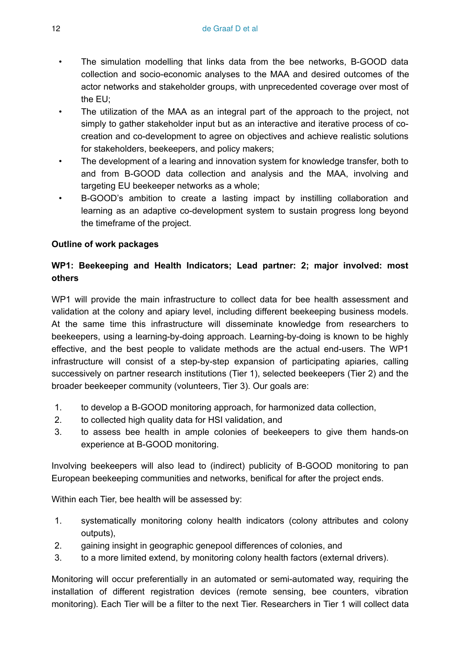- The simulation modelling that links data from the bee networks, B-GOOD data collection and socio-economic analyses to the MAA and desired outcomes of the actor networks and stakeholder groups, with unprecedented coverage over most of the EU;
- The utilization of the MAA as an integral part of the approach to the project, not simply to gather stakeholder input but as an interactive and iterative process of cocreation and co-development to agree on objectives and achieve realistic solutions for stakeholders, beekeepers, and policy makers;
- The development of a learing and innovation system for knowledge transfer, both to and from B-GOOD data collection and analysis and the MAA, involving and targeting EU beekeeper networks as a whole;
- B-GOOD's ambition to create a lasting impact by instilling collaboration and learning as an adaptive co-development system to sustain progress long beyond the timeframe of the project.

#### **Outline of work packages**

## **WP1: Beekeeping and Health Indicators; Lead partner: 2; major involved: most others**

WP1 will provide the main infrastructure to collect data for bee health assessment and validation at the colony and apiary level, including different beekeeping business models. At the same time this infrastructure will disseminate knowledge from researchers to beekeepers, using a learning-by-doing approach. Learning-by-doing is known to be highly effective, and the best people to validate methods are the actual end-users. The WP1 infrastructure will consist of a step-by-step expansion of participating apiaries, calling successively on partner research institutions (Tier 1), selected beekeepers (Tier 2) and the broader beekeeper community (volunteers, Tier 3). Our goals are:

- 1. to develop a B-GOOD monitoring approach, for harmonized data collection,
- 2. to collected high quality data for HSI validation, and
- 3. to assess bee health in ample colonies of beekeepers to give them hands-on experience at B-GOOD monitoring.

Involving beekeepers will also lead to (indirect) publicity of B-GOOD monitoring to pan European beekeeping communities and networks, benifical for after the project ends.

Within each Tier, bee health will be assessed by:

- 1. systematically monitoring colony health indicators (colony attributes and colony outputs),
- 2. gaining insight in geographic genepool differences of colonies, and
- 3. to a more limited extend, by monitoring colony health factors (external drivers).

Monitoring will occur preferentially in an automated or semi-automated way, requiring the installation of different registration devices (remote sensing, bee counters, vibration monitoring). Each Tier will be a filter to the next Tier. Researchers in Tier 1 will collect data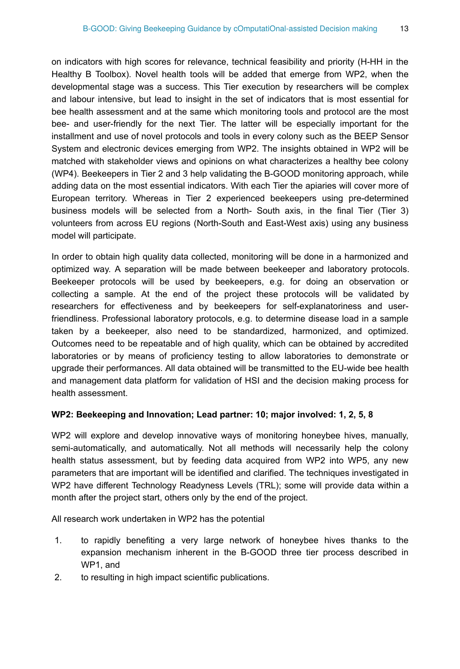on indicators with high scores for relevance, technical feasibility and priority (H-HH in the Healthy B Toolbox). Novel health tools will be added that emerge from WP2, when the developmental stage was a success. This Tier execution by researchers will be complex and labour intensive, but lead to insight in the set of indicators that is most essential for bee health assessment and at the same which monitoring tools and protocol are the most bee- and user-friendly for the next Tier. The latter will be especially important for the installment and use of novel protocols and tools in every colony such as the BEEP Sensor System and electronic devices emerging from WP2. The insights obtained in WP2 will be matched with stakeholder views and opinions on what characterizes a healthy bee colony (WP4). Beekeepers in Tier 2 and 3 help validating the B-GOOD monitoring approach, while adding data on the most essential indicators. With each Tier the apiaries will cover more of European territory. Whereas in Tier 2 experienced beekeepers using pre-determined business models will be selected from a North- South axis, in the final Tier (Tier 3) volunteers from across EU regions (North-South and East-West axis) using any business model will participate.

In order to obtain high quality data collected, monitoring will be done in a harmonized and optimized way. A separation will be made between beekeeper and laboratory protocols. Beekeeper protocols will be used by beekeepers, e.g. for doing an observation or collecting a sample. At the end of the project these protocols will be validated by researchers for effectiveness and by beekeepers for self-explanatoriness and userfriendliness. Professional laboratory protocols, e.g. to determine disease load in a sample taken by a beekeeper, also need to be standardized, harmonized, and optimized. Outcomes need to be repeatable and of high quality, which can be obtained by accredited laboratories or by means of proficiency testing to allow laboratories to demonstrate or upgrade their performances. All data obtained will be transmitted to the EU-wide bee health and management data platform for validation of HSI and the decision making process for health assessment.

#### **WP2: Beekeeping and Innovation; Lead partner: 10; major involved: 1, 2, 5, 8**

WP2 will explore and develop innovative ways of monitoring honeybee hives, manually, semi-automatically, and automatically. Not all methods will necessarily help the colony health status assessment, but by feeding data acquired from WP2 into WP5, any new parameters that are important will be identified and clarified. The techniques investigated in WP2 have different Technology Readyness Levels (TRL); some will provide data within a month after the project start, others only by the end of the project.

All research work undertaken in WP2 has the potential

- 1. to rapidly benefiting a very large network of honeybee hives thanks to the expansion mechanism inherent in the B-GOOD three tier process described in WP1, and
- 2. to resulting in high impact scientific publications.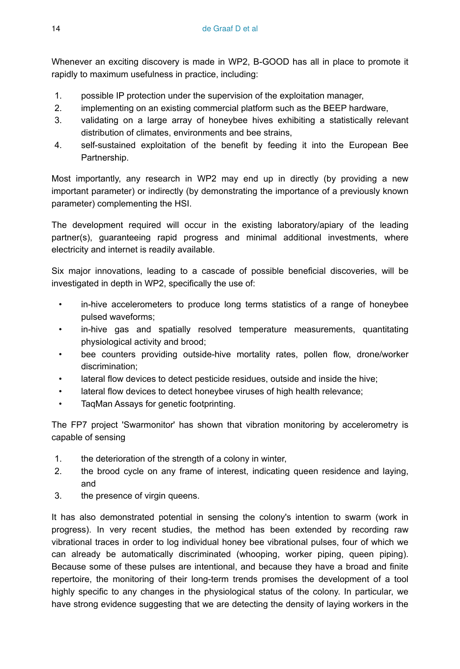Whenever an exciting discovery is made in WP2, B-GOOD has all in place to promote it rapidly to maximum usefulness in practice, including:

- 1. possible IP protection under the supervision of the exploitation manager,
- 2. implementing on an existing commercial platform such as the BEEP hardware,
- 3. validating on a large array of honeybee hives exhibiting a statistically relevant distribution of climates, environments and bee strains,
- 4. self-sustained exploitation of the benefit by feeding it into the European Bee Partnership.

Most importantly, any research in WP2 may end up in directly (by providing a new important parameter) or indirectly (by demonstrating the importance of a previously known parameter) complementing the HSI.

The development required will occur in the existing laboratory/apiary of the leading partner(s), guaranteeing rapid progress and minimal additional investments, where electricity and internet is readily available.

Six major innovations, leading to a cascade of possible beneficial discoveries, will be investigated in depth in WP2, specifically the use of:

- in-hive accelerometers to produce long terms statistics of a range of honeybee pulsed waveforms;
- in-hive gas and spatially resolved temperature measurements, quantitating physiological activity and brood;
- bee counters providing outside-hive mortality rates, pollen flow, drone/worker discrimination;
- lateral flow devices to detect pesticide residues, outside and inside the hive;
- lateral flow devices to detect honeybee viruses of high health relevance;
- TaqMan Assays for genetic footprinting.

The FP7 project 'Swarmonitor' has shown that vibration monitoring by accelerometry is capable of sensing

- 1. the deterioration of the strength of a colony in winter,
- 2. the brood cycle on any frame of interest, indicating queen residence and laying, and
- 3. the presence of virgin queens.

It has also demonstrated potential in sensing the colony's intention to swarm (work in progress). In very recent studies, the method has been extended by recording raw vibrational traces in order to log individual honey bee vibrational pulses, four of which we can already be automatically discriminated (whooping, worker piping, queen piping). Because some of these pulses are intentional, and because they have a broad and finite repertoire, the monitoring of their long-term trends promises the development of a tool highly specific to any changes in the physiological status of the colony. In particular, we have strong evidence suggesting that we are detecting the density of laying workers in the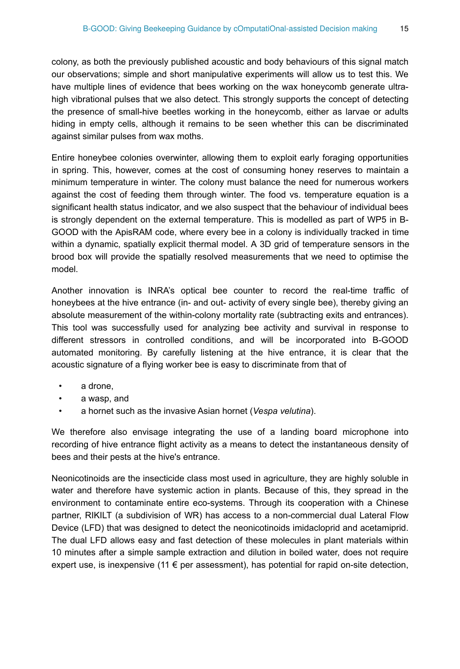colony, as both the previously published acoustic and body behaviours of this signal match our observations; simple and short manipulative experiments will allow us to test this. We have multiple lines of evidence that bees working on the wax honeycomb generate ultrahigh vibrational pulses that we also detect. This strongly supports the concept of detecting the presence of small-hive beetles working in the honeycomb, either as larvae or adults hiding in empty cells, although it remains to be seen whether this can be discriminated against similar pulses from wax moths.

Entire honeybee colonies overwinter, allowing them to exploit early foraging opportunities in spring. This, however, comes at the cost of consuming honey reserves to maintain a minimum temperature in winter. The colony must balance the need for numerous workers against the cost of feeding them through winter. The food vs. temperature equation is a significant health status indicator, and we also suspect that the behaviour of individual bees is strongly dependent on the external temperature. This is modelled as part of WP5 in B-GOOD with the ApisRAM code, where every bee in a colony is individually tracked in time within a dynamic, spatially explicit thermal model. A 3D grid of temperature sensors in the brood box will provide the spatially resolved measurements that we need to optimise the model.

Another innovation is INRA's optical bee counter to record the real-time traffic of honeybees at the hive entrance (in- and out- activity of every single bee), thereby giving an absolute measurement of the within-colony mortality rate (subtracting exits and entrances). This tool was successfully used for analyzing bee activity and survival in response to different stressors in controlled conditions, and will be incorporated into B-GOOD automated monitoring. By carefully listening at the hive entrance, it is clear that the acoustic signature of a flying worker bee is easy to discriminate from that of

- a drone,
- a wasp, and
- a hornet such as the invasive Asian hornet (*Vespa velutina*).

We therefore also envisage integrating the use of a landing board microphone into recording of hive entrance flight activity as a means to detect the instantaneous density of bees and their pests at the hive's entrance.

Neonicotinoids are the insecticide class most used in agriculture, they are highly soluble in water and therefore have systemic action in plants. Because of this, they spread in the environment to contaminate entire eco-systems. Through its cooperation with a Chinese partner, RIKILT (a subdivision of WR) has access to a non-commercial dual Lateral Flow Device (LFD) that was designed to detect the neonicotinoids imidacloprid and acetamiprid. The dual LFD allows easy and fast detection of these molecules in plant materials within 10 minutes after a simple sample extraction and dilution in boiled water, does not require expert use, is inexpensive (11  $\epsilon$  per assessment), has potential for rapid on-site detection,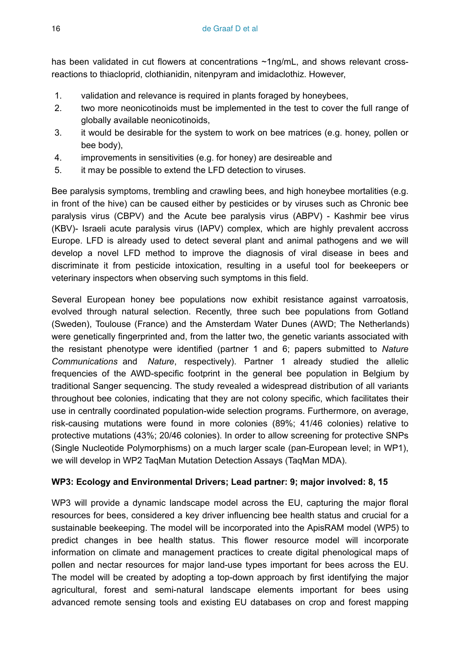has been validated in cut flowers at concentrations ~1ng/mL, and shows relevant crossreactions to thiacloprid, clothianidin, nitenpyram and imidaclothiz. However,

- 1. validation and relevance is required in plants foraged by honeybees,
- 2. two more neonicotinoids must be implemented in the test to cover the full range of globally available neonicotinoids,
- 3. it would be desirable for the system to work on bee matrices (e.g. honey, pollen or bee body),
- 4. improvements in sensitivities (e.g. for honey) are desireable and
- 5. it may be possible to extend the LFD detection to viruses.

Bee paralysis symptoms, trembling and crawling bees, and high honeybee mortalities (e.g. in front of the hive) can be caused either by pesticides or by viruses such as Chronic bee paralysis virus (CBPV) and the Acute bee paralysis virus (ABPV) - Kashmir bee virus (KBV)- Israeli acute paralysis virus (IAPV) complex, which are highly prevalent accross Europe. LFD is already used to detect several plant and animal pathogens and we will develop a novel LFD method to improve the diagnosis of viral disease in bees and discriminate it from pesticide intoxication, resulting in a useful tool for beekeepers or veterinary inspectors when observing such symptoms in this field.

Several European honey bee populations now exhibit resistance against varroatosis, evolved through natural selection. Recently, three such bee populations from Gotland (Sweden), Toulouse (France) and the Amsterdam Water Dunes (AWD; The Netherlands) were genetically fingerprinted and, from the latter two, the genetic variants associated with the resistant phenotype were identified (partner 1 and 6; papers submitted to *Nature Communications* and *Nature*, respectively). Partner 1 already studied the allelic frequencies of the AWD-specific footprint in the general bee population in Belgium by traditional Sanger sequencing. The study revealed a widespread distribution of all variants throughout bee colonies, indicating that they are not colony specific, which facilitates their use in centrally coordinated population-wide selection programs. Furthermore, on average, risk-causing mutations were found in more colonies (89%; 41/46 colonies) relative to protective mutations (43%; 20/46 colonies). In order to allow screening for protective SNPs (Single Nucleotide Polymorphisms) on a much larger scale (pan-European level; in WP1), we will develop in WP2 TaqMan Mutation Detection Assays (TaqMan MDA).

#### **WP3: Ecology and Environmental Drivers; Lead partner: 9; major involved: 8, 15**

WP3 will provide a dynamic landscape model across the EU, capturing the major floral resources for bees, considered a key driver influencing bee health status and crucial for a sustainable beekeeping. The model will be incorporated into the ApisRAM model (WP5) to predict changes in bee health status. This flower resource model will incorporate information on climate and management practices to create digital phenological maps of pollen and nectar resources for major land-use types important for bees across the EU. The model will be created by adopting a top-down approach by first identifying the major agricultural, forest and semi-natural landscape elements important for bees using advanced remote sensing tools and existing EU databases on crop and forest mapping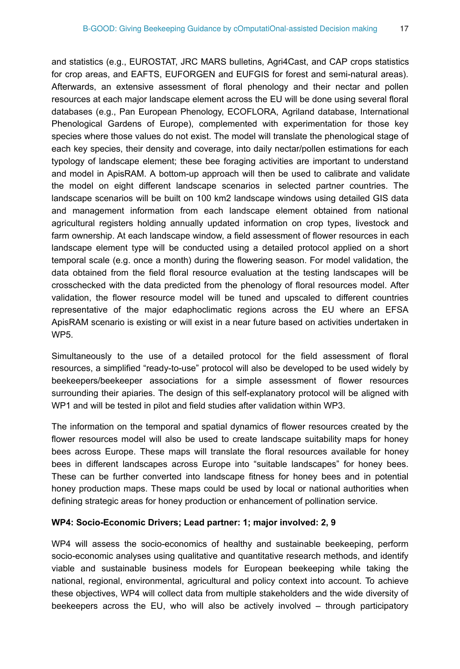and statistics (e.g., EUROSTAT, JRC MARS bulletins, Agri4Cast, and CAP crops statistics for crop areas, and EAFTS, EUFORGEN and EUFGIS for forest and semi-natural areas). Afterwards, an extensive assessment of floral phenology and their nectar and pollen resources at each major landscape element across the EU will be done using several floral databases (e.g., Pan European Phenology, ECOFLORA, Agriland database, International Phenological Gardens of Europe), complemented with experimentation for those key species where those values do not exist. The model will translate the phenological stage of each key species, their density and coverage, into daily nectar/pollen estimations for each typology of landscape element; these bee foraging activities are important to understand and model in ApisRAM. A bottom-up approach will then be used to calibrate and validate the model on eight different landscape scenarios in selected partner countries. The landscape scenarios will be built on 100 km2 landscape windows using detailed GIS data and management information from each landscape element obtained from national agricultural registers holding annually updated information on crop types, livestock and farm ownership. At each landscape window, a field assessment of flower resources in each landscape element type will be conducted using a detailed protocol applied on a short temporal scale (e.g. once a month) during the flowering season. For model validation, the data obtained from the field floral resource evaluation at the testing landscapes will be crosschecked with the data predicted from the phenology of floral resources model. After validation, the flower resource model will be tuned and upscaled to different countries representative of the major edaphoclimatic regions across the EU where an EFSA ApisRAM scenario is existing or will exist in a near future based on activities undertaken in WP5.

Simultaneously to the use of a detailed protocol for the field assessment of floral resources, a simplified "ready-to-use" protocol will also be developed to be used widely by beekeepers/beekeeper associations for a simple assessment of flower resources surrounding their apiaries. The design of this self-explanatory protocol will be aligned with WP1 and will be tested in pilot and field studies after validation within WP3.

The information on the temporal and spatial dynamics of flower resources created by the flower resources model will also be used to create landscape suitability maps for honey bees across Europe. These maps will translate the floral resources available for honey bees in different landscapes across Europe into "suitable landscapes" for honey bees. These can be further converted into landscape fitness for honey bees and in potential honey production maps. These maps could be used by local or national authorities when defining strategic areas for honey production or enhancement of pollination service.

#### **WP4: Socio-Economic Drivers; Lead partner: 1; major involved: 2, 9**

WP4 will assess the socio-economics of healthy and sustainable beekeeping, perform socio-economic analyses using qualitative and quantitative research methods, and identify viable and sustainable business models for European beekeeping while taking the national, regional, environmental, agricultural and policy context into account. To achieve these objectives, WP4 will collect data from multiple stakeholders and the wide diversity of beekeepers across the EU, who will also be actively involved – through participatory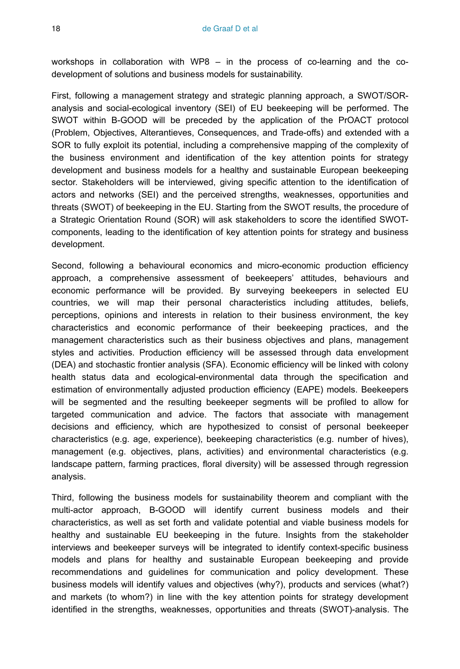workshops in collaboration with WP8 – in the process of co-learning and the codevelopment of solutions and business models for sustainability.

First, following a management strategy and strategic planning approach, a SWOT/SORanalysis and social-ecological inventory (SEI) of EU beekeeping will be performed. The SWOT within B-GOOD will be preceded by the application of the PrOACT protocol (Problem, Objectives, Alterantieves, Consequences, and Trade-offs) and extended with a SOR to fully exploit its potential, including a comprehensive mapping of the complexity of the business environment and identification of the key attention points for strategy development and business models for a healthy and sustainable European beekeeping sector. Stakeholders will be interviewed, giving specific attention to the identification of actors and networks (SEI) and the perceived strengths, weaknesses, opportunities and threats (SWOT) of beekeeping in the EU. Starting from the SWOT results, the procedure of a Strategic Orientation Round (SOR) will ask stakeholders to score the identified SWOTcomponents, leading to the identification of key attention points for strategy and business development.

Second, following a behavioural economics and micro-economic production efficiency approach, a comprehensive assessment of beekeepers' attitudes, behaviours and economic performance will be provided. By surveying beekeepers in selected EU countries, we will map their personal characteristics including attitudes, beliefs, perceptions, opinions and interests in relation to their business environment, the key characteristics and economic performance of their beekeeping practices, and the management characteristics such as their business objectives and plans, management styles and activities. Production efficiency will be assessed through data envelopment (DEA) and stochastic frontier analysis (SFA). Economic efficiency will be linked with colony health status data and ecological-environmental data through the specification and estimation of environmentally adjusted production efficiency (EAPE) models. Beekeepers will be segmented and the resulting beekeeper segments will be profiled to allow for targeted communication and advice. The factors that associate with management decisions and efficiency, which are hypothesized to consist of personal beekeeper characteristics (e.g. age, experience), beekeeping characteristics (e.g. number of hives), management (e.g. objectives, plans, activities) and environmental characteristics (e.g. landscape pattern, farming practices, floral diversity) will be assessed through regression analysis.

Third, following the business models for sustainability theorem and compliant with the multi-actor approach, B-GOOD will identify current business models and their characteristics, as well as set forth and validate potential and viable business models for healthy and sustainable EU beekeeping in the future. Insights from the stakeholder interviews and beekeeper surveys will be integrated to identify context-specific business models and plans for healthy and sustainable European beekeeping and provide recommendations and guidelines for communication and policy development. These business models will identify values and objectives (why?), products and services (what?) and markets (to whom?) in line with the key attention points for strategy development identified in the strengths, weaknesses, opportunities and threats (SWOT)-analysis. The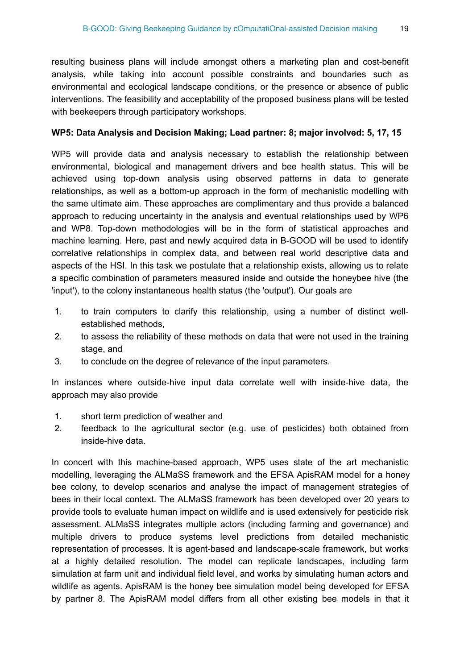resulting business plans will include amongst others a marketing plan and cost-benefit analysis, while taking into account possible constraints and boundaries such as environmental and ecological landscape conditions, or the presence or absence of public interventions. The feasibility and acceptability of the proposed business plans will be tested with beekeepers through participatory workshops.

#### **WP5: Data Analysis and Decision Making; Lead partner: 8; major involved: 5, 17, 15**

WP5 will provide data and analysis necessary to establish the relationship between environmental, biological and management drivers and bee health status. This will be achieved using top-down analysis using observed patterns in data to generate relationships, as well as a bottom-up approach in the form of mechanistic modelling with the same ultimate aim. These approaches are complimentary and thus provide a balanced approach to reducing uncertainty in the analysis and eventual relationships used by WP6 and WP8. Top-down methodologies will be in the form of statistical approaches and machine learning. Here, past and newly acquired data in B-GOOD will be used to identify correlative relationships in complex data, and between real world descriptive data and aspects of the HSI. In this task we postulate that a relationship exists, allowing us to relate a specific combination of parameters measured inside and outside the honeybee hive (the 'input'), to the colony instantaneous health status (the 'output'). Our goals are

- 1. to train computers to clarify this relationship, using a number of distinct wellestablished methods,
- 2. to assess the reliability of these methods on data that were not used in the training stage, and
- 3. to conclude on the degree of relevance of the input parameters.

In instances where outside-hive input data correlate well with inside-hive data, the approach may also provide

- 1. short term prediction of weather and
- 2. feedback to the agricultural sector (e.g. use of pesticides) both obtained from inside-hive data.

In concert with this machine-based approach, WP5 uses state of the art mechanistic modelling, leveraging the ALMaSS framework and the EFSA ApisRAM model for a honey bee colony, to develop scenarios and analyse the impact of management strategies of bees in their local context. The ALMaSS framework has been developed over 20 years to provide tools to evaluate human impact on wildlife and is used extensively for pesticide risk assessment. ALMaSS integrates multiple actors (including farming and governance) and multiple drivers to produce systems level predictions from detailed mechanistic representation of processes. It is agent-based and landscape-scale framework, but works at a highly detailed resolution. The model can replicate landscapes, including farm simulation at farm unit and individual field level, and works by simulating human actors and wildlife as agents. ApisRAM is the honey bee simulation model being developed for EFSA by partner 8. The ApisRAM model differs from all other existing bee models in that it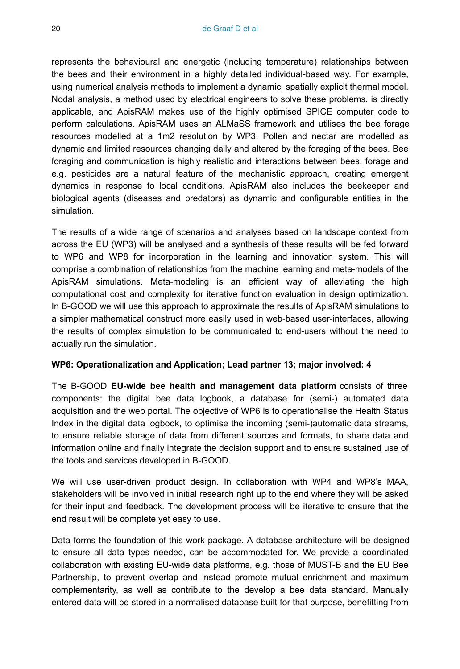represents the behavioural and energetic (including temperature) relationships between the bees and their environment in a highly detailed individual-based way. For example, using numerical analysis methods to implement a dynamic, spatially explicit thermal model. Nodal analysis, a method used by electrical engineers to solve these problems, is directly applicable, and ApisRAM makes use of the highly optimised SPICE computer code to perform calculations. ApisRAM uses an ALMaSS framework and utilises the bee forage resources modelled at a 1m2 resolution by WP3. Pollen and nectar are modelled as dynamic and limited resources changing daily and altered by the foraging of the bees. Bee foraging and communication is highly realistic and interactions between bees, forage and e.g. pesticides are a natural feature of the mechanistic approach, creating emergent dynamics in response to local conditions. ApisRAM also includes the beekeeper and biological agents (diseases and predators) as dynamic and configurable entities in the simulation.

The results of a wide range of scenarios and analyses based on landscape context from across the EU (WP3) will be analysed and a synthesis of these results will be fed forward to WP6 and WP8 for incorporation in the learning and innovation system. This will comprise a combination of relationships from the machine learning and meta-models of the ApisRAM simulations. Meta-modeling is an efficient way of alleviating the high computational cost and complexity for iterative function evaluation in design optimization. In B-GOOD we will use this approach to approximate the results of ApisRAM simulations to a simpler mathematical construct more easily used in web-based user-interfaces, allowing the results of complex simulation to be communicated to end-users without the need to actually run the simulation.

#### **WP6: Operationalization and Application; Lead partner 13; major involved: 4**

The B-GOOD **EU-wide bee health and management data platform** consists of three components: the digital bee data logbook, a database for (semi-) automated data acquisition and the web portal. The objective of WP6 is to operationalise the Health Status Index in the digital data logbook, to optimise the incoming (semi-)automatic data streams, to ensure reliable storage of data from different sources and formats, to share data and information online and finally integrate the decision support and to ensure sustained use of the tools and services developed in B-GOOD.

We will use user-driven product design. In collaboration with WP4 and WP8's MAA, stakeholders will be involved in initial research right up to the end where they will be asked for their input and feedback. The development process will be iterative to ensure that the end result will be complete yet easy to use.

Data forms the foundation of this work package. A database architecture will be designed to ensure all data types needed, can be accommodated for. We provide a coordinated collaboration with existing EU-wide data platforms, e.g. those of MUST-B and the EU Bee Partnership, to prevent overlap and instead promote mutual enrichment and maximum complementarity, as well as contribute to the develop a bee data standard. Manually entered data will be stored in a normalised database built for that purpose, benefitting from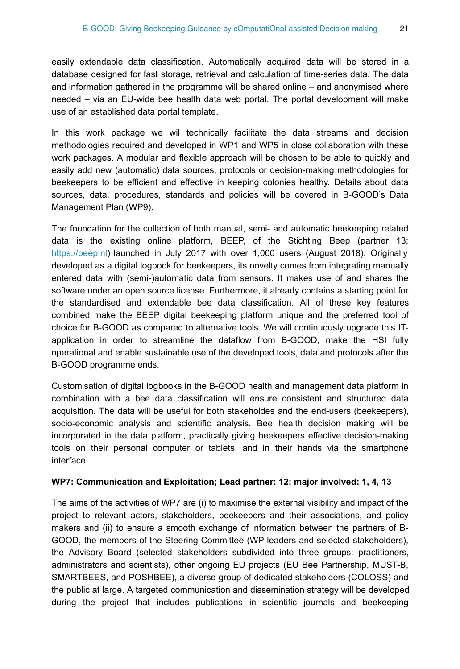easily extendable data classification. Automatically acquired data will be stored in a database designed for fast storage, retrieval and calculation of time-series data. The data and information gathered in the programme will be shared online – and anonymised where needed – via an EU-wide bee health data web portal. The portal development will make use of an established data portal template.

In this work package we wil technically facilitate the data streams and decision methodologies required and developed in WP1 and WP5 in close collaboration with these work packages. A modular and flexible approach will be chosen to be able to quickly and easily add new (automatic) data sources, protocols or decision-making methodologies for beekeepers to be efficient and effective in keeping colonies healthy. Details about data sources, data, procedures, standards and policies will be covered in B-GOOD's Data Management Plan (WP9).

The foundation for the collection of both manual, semi- and automatic beekeeping related data is the existing online platform, BEEP, of the Stichting Beep (partner 13; [https://beep.nl\)](https://beep.nl) launched in July 2017 with over 1,000 users (August 2018). Originally developed as a digital logbook for beekeepers, its novelty comes from integrating manually entered data with (semi-)automatic data from sensors. It makes use of and shares the software under an open source license. Furthermore, it already contains a starting point for the standardised and extendable bee data classification. All of these key features combined make the BEEP digital beekeeping platform unique and the preferred tool of choice for B-GOOD as compared to alternative tools. We will continuously upgrade this ITapplication in order to streamline the dataflow from B-GOOD, make the HSI fully operational and enable sustainable use of the developed tools, data and protocols after the B-GOOD programme ends.

Customisation of digital logbooks in the B-GOOD health and management data platform in combination with a bee data classification will ensure consistent and structured data acquisition. The data will be useful for both stakeholdes and the end-users (beekeepers), socio-economic analysis and scientific analysis. Bee health decision making will be incorporated in the data platform, practically giving beekeepers effective decision-making tools on their personal computer or tablets, and in their hands via the smartphone interface.

#### **WP7: Communication and Exploitation; Lead partner: 12; major involved: 1, 4, 13**

The aims of the activities of WP7 are (i) to maximise the external visibility and impact of the project to relevant actors, stakeholders, beekeepers and their associations, and policy makers and (ii) to ensure a smooth exchange of information between the partners of B-GOOD, the members of the Steering Committee (WP-leaders and selected stakeholders), the Advisory Board (selected stakeholders subdivided into three groups: practitioners, administrators and scientists), other ongoing EU projects (EU Bee Partnership, MUST-B, SMARTBEES, and POSHBEE), a diverse group of dedicated stakeholders (COLOSS) and the public at large. A targeted communication and dissemination strategy will be developed during the project that includes publications in scientific journals and beekeeping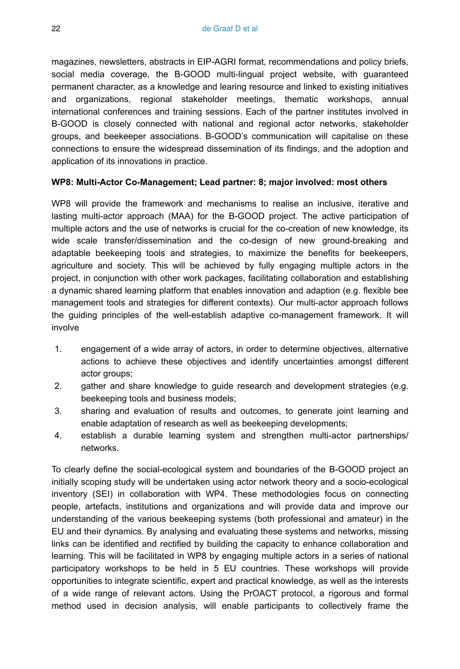magazines, newsletters, abstracts in EIP-AGRI format, recommendations and policy briefs, social media coverage, the B-GOOD multi-lingual project website, with guaranteed permanent character, as a knowledge and learing resource and linked to existing initiatives and organizations, regional stakeholder meetings, thematic workshops, annual international conferences and training sessions. Each of the partner institutes involved in B-GOOD is closely connected with national and regional actor networks, stakeholder groups, and beekeeper associations. B-GOOD's communication will capitalise on these connections to ensure the widespread dissemination of its findings, and the adoption and application of its innovations in practice.

#### **WP8: Multi-Actor Co-Management; Lead partner: 8; major involved: most others**

WP8 will provide the framework and mechanisms to realise an inclusive, iterative and lasting multi-actor approach (MAA) for the B-GOOD project. The active participation of multiple actors and the use of networks is crucial for the co-creation of new knowledge, its wide scale transfer/dissemination and the co-design of new ground-breaking and adaptable beekeeping tools and strategies, to maximize the benefits for beekeepers, agriculture and society. This will be achieved by fully engaging multiple actors in the project, in conjunction with other work packages, facilitating collaboration and establishing a dynamic shared learning platform that enables innovation and adaption (e.g. flexible bee management tools and strategies for different contexts). Our multi-actor approach follows the guiding principles of the well-establish adaptive co-management framework. It will involve

- 1. engagement of a wide array of actors, in order to determine objectives, alternative actions to achieve these objectives and identify uncertainties amongst different actor groups;
- 2. gather and share knowledge to guide research and development strategies (e.g. beekeeping tools and business models;
- 3. sharing and evaluation of results and outcomes, to generate joint learning and enable adaptation of research as well as beekeeping developments;
- 4. establish a durable learning system and strengthen multi-actor partnerships/ networks.

To clearly define the social-ecological system and boundaries of the B-GOOD project an initially scoping study will be undertaken using actor network theory and a socio-ecological inventory (SEI) in collaboration with WP4. These methodologies focus on connecting people, artefacts, institutions and organizations and will provide data and improve our understanding of the various beekeeping systems (both professional and amateur) in the EU and their dynamics. By analysing and evaluating these systems and networks, missing links can be identified and rectified by building the capacity to enhance collaboration and learning. This will be facilitated in WP8 by engaging multiple actors in a series of national participatory workshops to be held in 5 EU countries. These workshops will provide opportunities to integrate scientific, expert and practical knowledge, as well as the interests of a wide range of relevant actors. Using the PrOACT protocol, a rigorous and formal method used in decision analysis, will enable participants to collectively frame the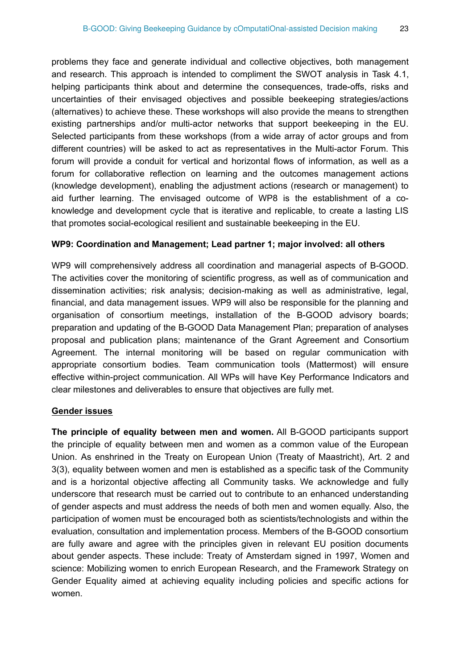problems they face and generate individual and collective objectives, both management and research. This approach is intended to compliment the SWOT analysis in Task 4.1, helping participants think about and determine the consequences, trade-offs, risks and uncertainties of their envisaged objectives and possible beekeeping strategies/actions (alternatives) to achieve these. These workshops will also provide the means to strengthen existing partnerships and/or multi-actor networks that support beekeeping in the EU. Selected participants from these workshops (from a wide array of actor groups and from different countries) will be asked to act as representatives in the Multi-actor Forum. This forum will provide a conduit for vertical and horizontal flows of information, as well as a forum for collaborative reflection on learning and the outcomes management actions (knowledge development), enabling the adjustment actions (research or management) to aid further learning. The envisaged outcome of WP8 is the establishment of a coknowledge and development cycle that is iterative and replicable, to create a lasting LIS that promotes social-ecological resilient and sustainable beekeeping in the EU.

#### **WP9: Coordination and Management; Lead partner 1; major involved: all others**

WP9 will comprehensively address all coordination and managerial aspects of B-GOOD. The activities cover the monitoring of scientific progress, as well as of communication and dissemination activities; risk analysis; decision-making as well as administrative, legal, financial, and data management issues. WP9 will also be responsible for the planning and organisation of consortium meetings, installation of the B-GOOD advisory boards; preparation and updating of the B-GOOD Data Management Plan; preparation of analyses proposal and publication plans; maintenance of the Grant Agreement and Consortium Agreement. The internal monitoring will be based on regular communication with appropriate consortium bodies. Team communication tools (Mattermost) will ensure effective within-project communication. All WPs will have Key Performance Indicators and clear milestones and deliverables to ensure that objectives are fully met.

#### **Gender issues**

**The principle of equality between men and women.** All B-GOOD participants support the principle of equality between men and women as a common value of the European Union. As enshrined in the Treaty on European Union (Treaty of Maastricht), Art. 2 and 3(3), equality between women and men is established as a specific task of the Community and is a horizontal objective affecting all Community tasks. We acknowledge and fully underscore that research must be carried out to contribute to an enhanced understanding of gender aspects and must address the needs of both men and women equally. Also, the participation of women must be encouraged both as scientists/technologists and within the evaluation, consultation and implementation process. Members of the B-GOOD consortium are fully aware and agree with the principles given in relevant EU position documents about gender aspects. These include: Treaty of Amsterdam signed in 1997, Women and science: Mobilizing women to enrich European Research, and the Framework Strategy on Gender Equality aimed at achieving equality including policies and specific actions for women.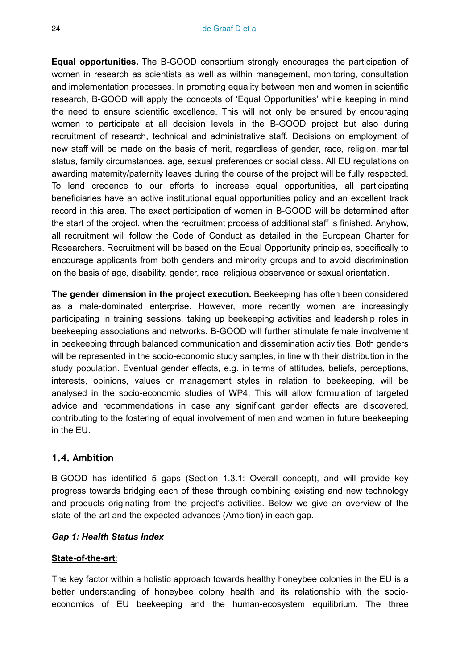**Equal opportunities.** The B-GOOD consortium strongly encourages the participation of women in research as scientists as well as within management, monitoring, consultation and implementation processes. In promoting equality between men and women in scientific research, B-GOOD will apply the concepts of 'Equal Opportunities' while keeping in mind the need to ensure scientific excellence. This will not only be ensured by encouraging women to participate at all decision levels in the B-GOOD project but also during recruitment of research, technical and administrative staff. Decisions on employment of new staff will be made on the basis of merit, regardless of gender, race, religion, marital status, family circumstances, age, sexual preferences or social class. All EU regulations on awarding maternity/paternity leaves during the course of the project will be fully respected. To lend credence to our efforts to increase equal opportunities, all participating beneficiaries have an active institutional equal opportunities policy and an excellent track record in this area. The exact participation of women in B-GOOD will be determined after the start of the project, when the recruitment process of additional staff is finished. Anyhow, all recruitment will follow the Code of Conduct as detailed in the European Charter for Researchers. Recruitment will be based on the Equal Opportunity principles, specifically to encourage applicants from both genders and minority groups and to avoid discrimination on the basis of age, disability, gender, race, religious observance or sexual orientation.

**The gender dimension in the project execution.** Beekeeping has often been considered as a male-dominated enterprise. However, more recently women are increasingly participating in training sessions, taking up beekeeping activities and leadership roles in beekeeping associations and networks. B-GOOD will further stimulate female involvement in beekeeping through balanced communication and dissemination activities. Both genders will be represented in the socio-economic study samples, in line with their distribution in the study population. Eventual gender effects, e.g. in terms of attitudes, beliefs, perceptions, interests, opinions, values or management styles in relation to beekeeping, will be analysed in the socio-economic studies of WP4. This will allow formulation of targeted advice and recommendations in case any significant gender effects are discovered, contributing to the fostering of equal involvement of men and women in future beekeeping in the EU.

#### **1.4. Ambition**

B-GOOD has identified 5 gaps (Section 1.3.1: Overall concept), and will provide key progress towards bridging each of these through combining existing and new technology and products originating from the project's activities. Below we give an overview of the state-of-the-art and the expected advances (Ambition) in each gap.

#### *Gap 1: Health Status Index*

#### **State-of-the-art**:

The key factor within a holistic approach towards healthy honeybee colonies in the EU is a better understanding of honeybee colony health and its relationship with the socioeconomics of EU beekeeping and the human-ecosystem equilibrium. The three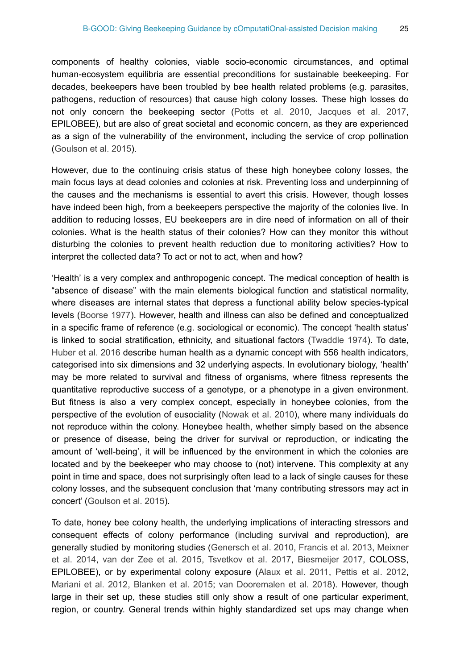components of healthy colonies, viable socio-economic circumstances, and optimal human-ecosystem equilibria are essential preconditions for sustainable beekeeping. For decades, beekeepers have been troubled by bee health related problems (e.g. parasites, pathogens, reduction of resources) that cause high colony losses. These high losses do not only concern the beekeeping sector ([Potts et al. 2010](#page-51-0), [Jacques et al. 2017,](#page-50-0) EPILOBEE), but are also of great societal and economic concern, as they are experienced as a sign of the vulnerability of the environment, including the service of crop pollination [\(Goulson et al. 2015](#page-50-1)).

However, due to the continuing crisis status of these high honeybee colony losses, the main focus lays at dead colonies and colonies at risk. Preventing loss and underpinning of the causes and the mechanisms is essential to avert this crisis. However, though losses have indeed been high, from a beekeepers perspective the majority of the colonies live. In addition to reducing losses, EU beekeepers are in dire need of information on all of their colonies. What is the health status of their colonies? How can they monitor this without disturbing the colonies to prevent health reduction due to monitoring activities? How to interpret the collected data? To act or not to act, when and how?

'Health' is a very complex and anthropogenic concept. The medical conception of health is "absence of disease" with the main elements biological function and statistical normality, where diseases are internal states that depress a functional ability below species-typical levels [\(Boorse 1977\)](#page-49-0). However, health and illness can also be defined and conceptualized in a specific frame of reference (e.g. sociological or economic). The concept 'health status' is linked to social stratification, ethnicity, and situational factors ([Twaddle 1974](#page-51-1)). To date, [Huber et al. 2016](#page-50-2) describe human health as a dynamic concept with 556 health indicators, categorised into six dimensions and 32 underlying aspects. In evolutionary biology, 'health' may be more related to survival and fitness of organisms, where fitness represents the quantitative reproductive success of a genotype, or a phenotype in a given environment. But fitness is also a very complex concept, especially in honeybee colonies, from the perspective of the evolution of eusociality [\(Nowak et al. 2010](#page-51-2)), where many individuals do not reproduce within the colony. Honeybee health, whether simply based on the absence or presence of disease, being the driver for survival or reproduction, or indicating the amount of 'well-being', it will be influenced by the environment in which the colonies are located and by the beekeeper who may choose to (not) intervene. This complexity at any point in time and space, does not surprisingly often lead to a lack of single causes for these colony losses, and the subsequent conclusion that 'many contributing stressors may act in concert' [\(Goulson et al. 2015](#page-50-1)).

To date, honey bee colony health, the underlying implications of interacting stressors and consequent effects of colony performance (including survival and reproduction), are generally studied by monitoring studies [\(Genersch et al. 2010](#page-49-1), [Francis et al. 2013](#page-49-2), [Meixner](#page-50-3) [et al. 2014,](#page-50-3) [van der Zee et al. 2015,](#page-51-3) [Tsvetkov et al. 2017,](#page-51-4) [Biesmeijer 2017,](#page-49-3) COLOSS, EPILOBEE), or by experimental colony exposure ([Alaux et al. 2011](#page-49-4), [Pettis et al. 2012,](#page-51-5) [Mariani et al. 2012,](#page-50-4) [Blanken et al. 2015](#page-49-5); [van Dooremalen et al. 2018\)](#page-52-0). However, though large in their set up, these studies still only show a result of one particular experiment, region, or country. General trends within highly standardized set ups may change when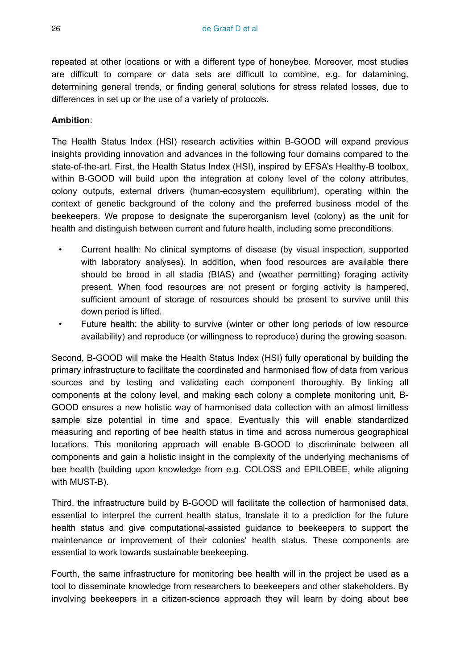repeated at other locations or with a different type of honeybee. Moreover, most studies are difficult to compare or data sets are difficult to combine, e.g. for datamining, determining general trends, or finding general solutions for stress related losses, due to differences in set up or the use of a variety of protocols.

#### **Ambition**:

The Health Status Index (HSI) research activities within B-GOOD will expand previous insights providing innovation and advances in the following four domains compared to the state-of-the-art. First, the Health Status Index (HSI), inspired by EFSA's Healthy-B toolbox, within B-GOOD will build upon the integration at colony level of the colony attributes, colony outputs, external drivers (human-ecosystem equilibrium), operating within the context of genetic background of the colony and the preferred business model of the beekeepers. We propose to designate the superorganism level (colony) as the unit for health and distinguish between current and future health, including some preconditions.

- Current health: No clinical symptoms of disease (by visual inspection, supported with laboratory analyses). In addition, when food resources are available there should be brood in all stadia (BIAS) and (weather permitting) foraging activity present. When food resources are not present or forging activity is hampered, sufficient amount of storage of resources should be present to survive until this down period is lifted.
- Future health: the ability to survive (winter or other long periods of low resource availability) and reproduce (or willingness to reproduce) during the growing season.

Second, B-GOOD will make the Health Status Index (HSI) fully operational by building the primary infrastructure to facilitate the coordinated and harmonised flow of data from various sources and by testing and validating each component thoroughly. By linking all components at the colony level, and making each colony a complete monitoring unit, B-GOOD ensures a new holistic way of harmonised data collection with an almost limitless sample size potential in time and space. Eventually this will enable standardized measuring and reporting of bee health status in time and across numerous geographical locations. This monitoring approach will enable B-GOOD to discriminate between all components and gain a holistic insight in the complexity of the underlying mechanisms of bee health (building upon knowledge from e.g. COLOSS and EPILOBEE, while aligning with MUST-B).

Third, the infrastructure build by B-GOOD will facilitate the collection of harmonised data, essential to interpret the current health status, translate it to a prediction for the future health status and give computational-assisted guidance to beekeepers to support the maintenance or improvement of their colonies' health status. These components are essential to work towards sustainable beekeeping.

Fourth, the same infrastructure for monitoring bee health will in the project be used as a tool to disseminate knowledge from researchers to beekeepers and other stakeholders. By involving beekeepers in a citizen-science approach they will learn by doing about bee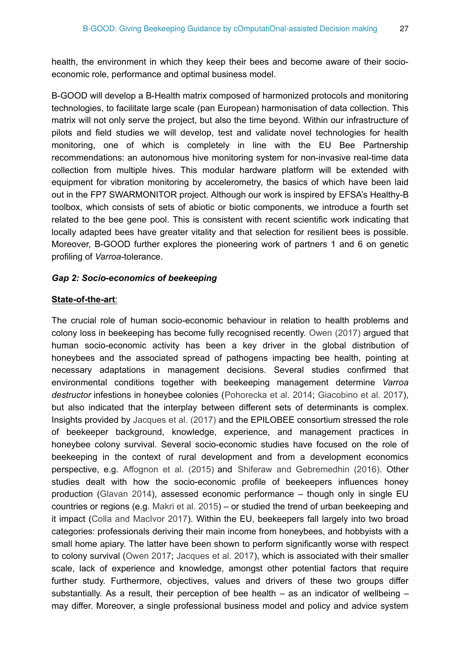health, the environment in which they keep their bees and become aware of their socioeconomic role, performance and optimal business model.

B-GOOD will develop a B-Health matrix composed of harmonized protocols and monitoring technologies, to facilitate large scale (pan European) harmonisation of data collection. This matrix will not only serve the project, but also the time beyond. Within our infrastructure of pilots and field studies we will develop, test and validate novel technologies for health monitoring, one of which is completely in line with the EU Bee Partnership recommendations: an autonomous hive monitoring system for non-invasive real-time data collection from multiple hives. This modular hardware platform will be extended with equipment for vibration monitoring by accelerometry, the basics of which have been laid out in the FP7 SWARMONITOR project. Although our work is inspired by EFSA's Healthy-B toolbox, which consists of sets of abiotic or biotic components, we introduce a fourth set related to the bee gene pool. This is consistent with recent scientific work indicating that locally adapted bees have greater vitality and that selection for resilient bees is possible. Moreover, B-GOOD further explores the pioneering work of partners 1 and 6 on genetic profiling of *Varroa*-tolerance.

#### *Gap 2: Socio-economics of beekeeping*

#### **State-of-the-art**:

The crucial role of human socio-economic behaviour in relation to health problems and colony loss in beekeeping has become fully recognised recently. [Owen \(2017\)](#page-51-6) argued that human socio-economic activity has been a key driver in the global distribution of honeybees and the associated spread of pathogens impacting bee health, pointing at necessary adaptations in management decisions. Several studies confirmed that environmental conditions together with beekeeping management determine *Varroa destructor* infestions in honeybee colonies ([Pohorecka et al. 2014;](#page-51-7) [Giacobino et al. 2017\)](#page-49-6), but also indicated that the interplay between different sets of determinants is complex. Insights provided by [Jacques et al. \(2017\)](#page-50-0) and the EPILOBEE consortium stressed the role of beekeeper background, knowledge, experience, and management practices in honeybee colony survival. Several socio-economic studies have focused on the role of beekeeping in the context of rural development and from a development economics perspective, e.g. [Affognon et al. \(2015\)](#page-49-7) and [Shiferaw and Gebremedhin \(2016\).](#page-51-8) Other studies dealt with how the socio-economic profile of beekeepers influences honey production ([Glavan 2014](#page-50-5)), assessed economic performance – though only in single EU countries or regions (e.g. [Makri et al. 2015\)](#page-50-6) – or studied the trend of urban beekeeping and it impact [\(Colla and MacIvor 2017\)](#page-49-8). Within the EU, beekeepers fall largely into two broad categories: professionals deriving their main income from honeybees, and hobbyists with a small home apiary. The latter have been shown to perform significantly worse with respect to colony survival ([Owen 2017](#page-51-6); [Jacques et al. 2017](#page-50-0)), which is associated with their smaller scale, lack of experience and knowledge, amongst other potential factors that require further study. Furthermore, objectives, values and drivers of these two groups differ substantially. As a result, their perception of bee health  $-$  as an indicator of wellbeing  $$ may differ. Moreover, a single professional business model and policy and advice system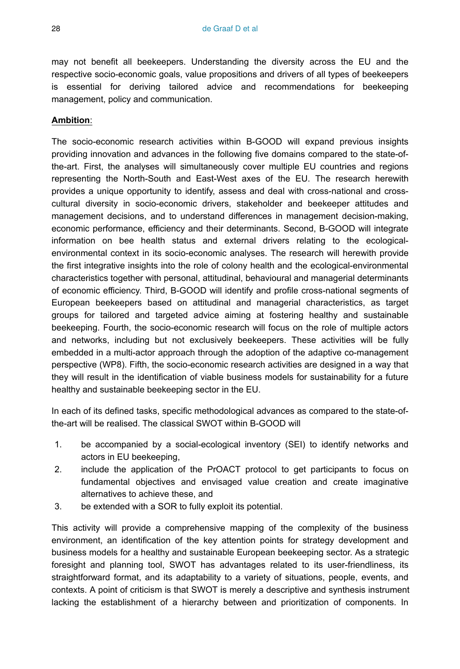may not benefit all beekeepers. Understanding the diversity across the EU and the respective socio-economic goals, value propositions and drivers of all types of beekeepers is essential for deriving tailored advice and recommendations for beekeeping management, policy and communication.

#### **Ambition**:

The socio-economic research activities within B-GOOD will expand previous insights providing innovation and advances in the following five domains compared to the state-ofthe-art. First, the analyses will simultaneously cover multiple EU countries and regions representing the North-South and East-West axes of the EU. The research herewith provides a unique opportunity to identify, assess and deal with cross-national and crosscultural diversity in socio-economic drivers, stakeholder and beekeeper attitudes and management decisions, and to understand differences in management decision-making, economic performance, efficiency and their determinants. Second, B-GOOD will integrate information on bee health status and external drivers relating to the ecologicalenvironmental context in its socio-economic analyses. The research will herewith provide the first integrative insights into the role of colony health and the ecological-environmental characteristics together with personal, attitudinal, behavioural and managerial determinants of economic efficiency. Third, B-GOOD will identify and profile cross-national segments of European beekeepers based on attitudinal and managerial characteristics, as target groups for tailored and targeted advice aiming at fostering healthy and sustainable beekeeping. Fourth, the socio-economic research will focus on the role of multiple actors and networks, including but not exclusively beekeepers. These activities will be fully embedded in a multi-actor approach through the adoption of the adaptive co-management perspective (WP8). Fifth, the socio-economic research activities are designed in a way that they will result in the identification of viable business models for sustainability for a future healthy and sustainable beekeeping sector in the EU.

In each of its defined tasks, specific methodological advances as compared to the state-ofthe-art will be realised. The classical SWOT within B-GOOD will

- 1. be accompanied by a social-ecological inventory (SEI) to identify networks and actors in EU beekeeping,
- 2. include the application of the PrOACT protocol to get participants to focus on fundamental objectives and envisaged value creation and create imaginative alternatives to achieve these, and
- 3. be extended with a SOR to fully exploit its potential.

This activity will provide a comprehensive mapping of the complexity of the business environment, an identification of the key attention points for strategy development and business models for a healthy and sustainable European beekeeping sector. As a strategic foresight and planning tool, SWOT has advantages related to its user-friendliness, its straightforward format, and its adaptability to a variety of situations, people, events, and contexts. A point of criticism is that SWOT is merely a descriptive and synthesis instrument lacking the establishment of a hierarchy between and prioritization of components. In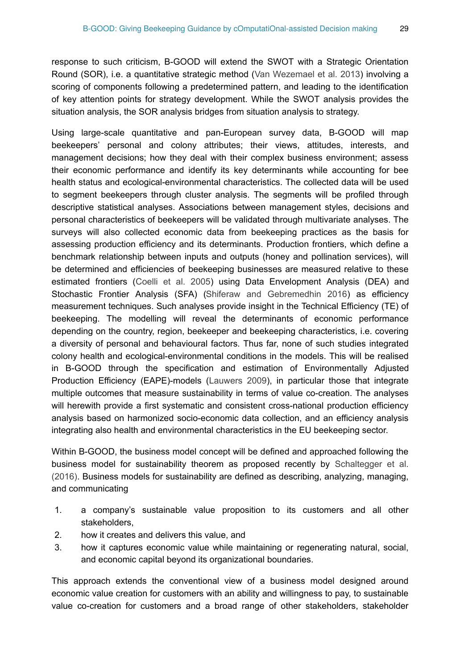response to such criticism, B-GOOD will extend the SWOT with a Strategic Orientation Round (SOR), i.e. a quantitative strategic method ([Van Wezemael et al. 2013](#page-52-1)) involving a scoring of components following a predetermined pattern, and leading to the identification of key attention points for strategy development. While the SWOT analysis provides the situation analysis, the SOR analysis bridges from situation analysis to strategy.

Using large-scale quantitative and pan-European survey data, B-GOOD will map beekeepers' personal and colony attributes; their views, attitudes, interests, and management decisions; how they deal with their complex business environment; assess their economic performance and identify its key determinants while accounting for bee health status and ecological-environmental characteristics. The collected data will be used to segment beekeepers through cluster analysis. The segments will be profiled through descriptive statistical analyses. Associations between management styles, decisions and personal characteristics of beekeepers will be validated through multivariate analyses. The surveys will also collected economic data from beekeeping practices as the basis for assessing production efficiency and its determinants. Production frontiers, which define a benchmark relationship between inputs and outputs (honey and pollination services), will be determined and efficiencies of beekeeping businesses are measured relative to these estimated frontiers ([Coelli et al. 2005\)](#page-49-9) using Data Envelopment Analysis (DEA) and Stochastic Frontier Analysis (SFA) [\(Shiferaw and Gebremedhin 2016\)](#page-51-8) as efficiency measurement techniques. Such analyses provide insight in the Technical Efficiency (TE) of beekeeping. The modelling will reveal the determinants of economic performance depending on the country, region, beekeeper and beekeeping characteristics, i.e. covering a diversity of personal and behavioural factors. Thus far, none of such studies integrated colony health and ecological-environmental conditions in the models. This will be realised in B-GOOD through the specification and estimation of Environmentally Adjusted Production Efficiency (EAPE)-models [\(Lauwers 2009](#page-50-7)), in particular those that integrate multiple outcomes that measure sustainability in terms of value co-creation. The analyses will herewith provide a first systematic and consistent cross-national production efficiency analysis based on harmonized socio-economic data collection, and an efficiency analysis integrating also health and environmental characteristics in the EU beekeeping sector.

Within B-GOOD, the business model concept will be defined and approached following the business model for sustainability theorem as proposed recently by [Schaltegger et al.](#page-51-9) [\(2016\)](#page-51-9). Business models for sustainability are defined as describing, analyzing, managing, and communicating

- 1. a company's sustainable value proposition to its customers and all other stakeholders,
- 2. how it creates and delivers this value, and
- 3. how it captures economic value while maintaining or regenerating natural, social, and economic capital beyond its organizational boundaries.

This approach extends the conventional view of a business model designed around economic value creation for customers with an ability and willingness to pay, to sustainable value co-creation for customers and a broad range of other stakeholders, stakeholder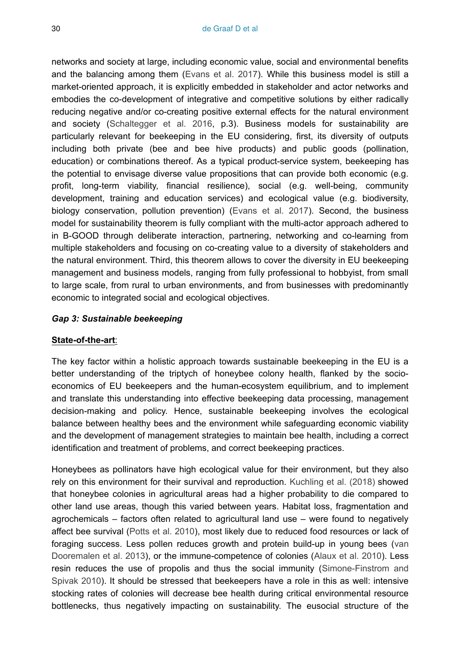networks and society at large, including economic value, social and environmental benefits and the balancing among them [\(Evans et al. 2017\)](#page-49-10). While this business model is still a market-oriented approach, it is explicitly embedded in stakeholder and actor networks and embodies the co-development of integrative and competitive solutions by either radically reducing negative and/or co-creating positive external effects for the natural environment and society [\(Schaltegger et al. 2016,](#page-51-9) p.3). Business models for sustainability are particularly relevant for beekeeping in the EU considering, first, its diversity of outputs including both private (bee and bee hive products) and public goods (pollination, education) or combinations thereof. As a typical product-service system, beekeeping has the potential to envisage diverse value propositions that can provide both economic (e.g. profit, long-term viability, financial resilience), social (e.g. well-being, community development, training and education services) and ecological value (e.g. biodiversity, biology conservation, pollution prevention) [\(Evans et al. 2017\)](#page-49-10). Second, the business model for sustainability theorem is fully compliant with the multi-actor approach adhered to in B-GOOD through deliberate interaction, partnering, networking and co-learning from multiple stakeholders and focusing on co-creating value to a diversity of stakeholders and the natural environment. Third, this theorem allows to cover the diversity in EU beekeeping management and business models, ranging from fully professional to hobbyist, from small to large scale, from rural to urban environments, and from businesses with predominantly economic to integrated social and ecological objectives.

#### *Gap 3: Sustainable beekeeping*

#### **State-of-the-art**:

The key factor within a holistic approach towards sustainable beekeeping in the EU is a better understanding of the triptych of honeybee colony health, flanked by the socioeconomics of EU beekeepers and the human-ecosystem equilibrium, and to implement and translate this understanding into effective beekeeping data processing, management decision-making and policy. Hence, sustainable beekeeping involves the ecological balance between healthy bees and the environment while safeguarding economic viability and the development of management strategies to maintain bee health, including a correct identification and treatment of problems, and correct beekeeping practices.

Honeybees as pollinators have high ecological value for their environment, but they also rely on this environment for their survival and reproduction. [Kuchling et al. \(2018\)](#page-50-8) showed that honeybee colonies in agricultural areas had a higher probability to die compared to other land use areas, though this varied between years. Habitat loss, fragmentation and agrochemicals – factors often related to agricultural land use – were found to negatively affect bee survival [\(Potts et al. 2010\)](#page-51-0), most likely due to reduced food resources or lack of foraging success. Less pollen reduces growth and protein build-up in young bees ([van](#page-51-10) [Dooremalen et al. 2013\)](#page-51-10), or the immune-competence of colonies [\(Alaux et al. 2010\)](#page-49-11). Less resin reduces the use of propolis and thus the social immunity ([Simone-Finstrom and](#page-51-11) [Spivak 2010\)](#page-51-11). It should be stressed that beekeepers have a role in this as well: intensive stocking rates of colonies will decrease bee health during critical environmental resource bottlenecks, thus negatively impacting on sustainability. The eusocial structure of the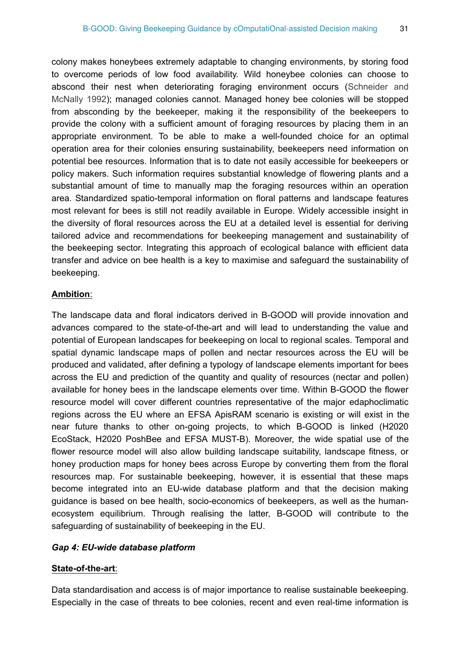colony makes honeybees extremely adaptable to changing environments, by storing food to overcome periods of low food availability. Wild honeybee colonies can choose to abscond their nest when deteriorating foraging environment occurs ([Schneider and](#page-51-12) [McNally 1992](#page-51-12)); managed colonies cannot. Managed honey bee colonies will be stopped from absconding by the beekeeper, making it the responsibility of the beekeepers to provide the colony with a sufficient amount of foraging resources by placing them in an appropriate environment. To be able to make a well-founded choice for an optimal operation area for their colonies ensuring sustainability, beekeepers need information on potential bee resources. Information that is to date not easily accessible for beekeepers or policy makers. Such information requires substantial knowledge of flowering plants and a substantial amount of time to manually map the foraging resources within an operation area. Standardized spatio-temporal information on floral patterns and landscape features most relevant for bees is still not readily available in Europe. Widely accessible insight in the diversity of floral resources across the EU at a detailed level is essential for deriving tailored advice and recommendations for beekeeping management and sustainability of the beekeeping sector. Integrating this approach of ecological balance with efficient data transfer and advice on bee health is a key to maximise and safeguard the sustainability of beekeeping.

#### **Ambition**:

The landscape data and floral indicators derived in B-GOOD will provide innovation and advances compared to the state-of-the-art and will lead to understanding the value and potential of European landscapes for beekeeping on local to regional scales. Temporal and spatial dynamic landscape maps of pollen and nectar resources across the EU will be produced and validated, after defining a typology of landscape elements important for bees across the EU and prediction of the quantity and quality of resources (nectar and pollen) available for honey bees in the landscape elements over time. Within B-GOOD the flower resource model will cover different countries representative of the major edaphoclimatic regions across the EU where an EFSA ApisRAM scenario is existing or will exist in the near future thanks to other on-going projects, to which B-GOOD is linked (H2020 EcoStack, H2020 PoshBee and EFSA MUST-B). Moreover, the wide spatial use of the flower resource model will also allow building landscape suitability, landscape fitness, or honey production maps for honey bees across Europe by converting them from the floral resources map. For sustainable beekeeping, however, it is essential that these maps become integrated into an EU-wide database platform and that the decision making guidance is based on bee health, socio-economics of beekeepers, as well as the humanecosystem equilibrium. Through realising the latter, B-GOOD will contribute to the safeguarding of sustainability of beekeeping in the EU.

#### *Gap 4: EU-wide database platform*

#### **State-of-the-art**:

Data standardisation and access is of major importance to realise sustainable beekeeping. Especially in the case of threats to bee colonies, recent and even real-time information is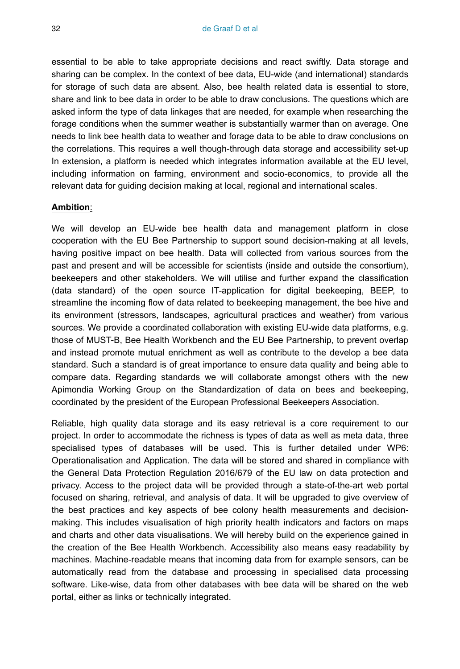essential to be able to take appropriate decisions and react swiftly. Data storage and sharing can be complex. In the context of bee data, EU-wide (and international) standards for storage of such data are absent. Also, bee health related data is essential to store, share and link to bee data in order to be able to draw conclusions. The questions which are asked inform the type of data linkages that are needed, for example when researching the forage conditions when the summer weather is substantially warmer than on average. One needs to link bee health data to weather and forage data to be able to draw conclusions on the correlations. This requires a well though-through data storage and accessibility set-up In extension, a platform is needed which integrates information available at the EU level, including information on farming, environment and socio-economics, to provide all the relevant data for guiding decision making at local, regional and international scales.

#### **Ambition**:

We will develop an EU-wide bee health data and management platform in close cooperation with the EU Bee Partnership to support sound decision-making at all levels, having positive impact on bee health. Data will collected from various sources from the past and present and will be accessible for scientists (inside and outside the consortium), beekeepers and other stakeholders. We will utilise and further expand the classification (data standard) of the open source IT-application for digital beekeeping, BEEP, to streamline the incoming flow of data related to beekeeping management, the bee hive and its environment (stressors, landscapes, agricultural practices and weather) from various sources. We provide a coordinated collaboration with existing EU-wide data platforms, e.g. those of MUST-B, Bee Health Workbench and the EU Bee Partnership, to prevent overlap and instead promote mutual enrichment as well as contribute to the develop a bee data standard. Such a standard is of great importance to ensure data quality and being able to compare data. Regarding standards we will collaborate amongst others with the new Apimondia Working Group on the Standardization of data on bees and beekeeping, coordinated by the president of the European Professional Beekeepers Association.

Reliable, high quality data storage and its easy retrieval is a core requirement to our project. In order to accommodate the richness is types of data as well as meta data, three specialised types of databases will be used. This is further detailed under WP6: Operationalisation and Application. The data will be stored and shared in compliance with the General Data Protection Regulation 2016/679 of the EU law on data protection and privacy. Access to the project data will be provided through a state-of-the-art web portal focused on sharing, retrieval, and analysis of data. It will be upgraded to give overview of the best practices and key aspects of bee colony health measurements and decisionmaking. This includes visualisation of high priority health indicators and factors on maps and charts and other data visualisations. We will hereby build on the experience gained in the creation of the Bee Health Workbench. Accessibility also means easy readability by machines. Machine-readable means that incoming data from for example sensors, can be automatically read from the database and processing in specialised data processing software. Like-wise, data from other databases with bee data will be shared on the web portal, either as links or technically integrated.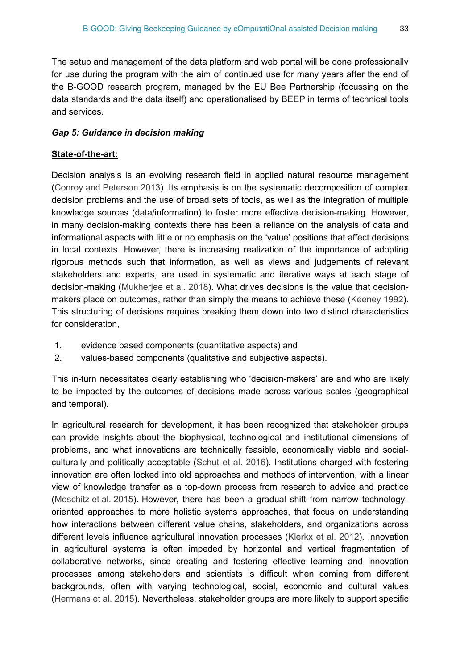The setup and management of the data platform and web portal will be done professionally for use during the program with the aim of continued use for many years after the end of the B-GOOD research program, managed by the EU Bee Partnership (focussing on the data standards and the data itself) and operationalised by BEEP in terms of technical tools and services.

#### *Gap 5: Guidance in decision making*

#### **State-of-the-art:**

Decision analysis is an evolving research field in applied natural resource management [\(Conroy and Peterson 2013](#page-49-12)). Its emphasis is on the systematic decomposition of complex decision problems and the use of broad sets of tools, as well as the integration of multiple knowledge sources (data/information) to foster more effective decision-making. However, in many decision-making contexts there has been a reliance on the analysis of data and informational aspects with little or no emphasis on the 'value' positions that affect decisions in local contexts. However, there is increasing realization of the importance of adopting rigorous methods such that information, as well as views and judgements of relevant stakeholders and experts, are used in systematic and iterative ways at each stage of decision-making [\(Mukherjee et al. 2018\)](#page-51-13). What drives decisions is the value that decisionmakers place on outcomes, rather than simply the means to achieve these ([Keeney 1992\)](#page-50-9). This structuring of decisions requires breaking them down into two distinct characteristics for consideration,

- 1. evidence based components (quantitative aspects) and
- 2. values-based components (qualitative and subjective aspects).

This in-turn necessitates clearly establishing who 'decision-makers' are and who are likely to be impacted by the outcomes of decisions made across various scales (geographical and temporal).

In agricultural research for development, it has been recognized that stakeholder groups can provide insights about the biophysical, technological and institutional dimensions of problems, and what innovations are technically feasible, economically viable and socialculturally and politically acceptable ([Schut et al. 2016](#page-51-14)). Institutions charged with fostering innovation are often locked into old approaches and methods of intervention, with a linear view of knowledge transfer as a top-down process from research to advice and practice [\(Moschitz et al. 2015](#page-50-10)). However, there has been a gradual shift from narrow technologyoriented approaches to more holistic systems approaches, that focus on understanding how interactions between different value chains, stakeholders, and organizations across different levels influence agricultural innovation processes ([Klerkx et al. 2012\)](#page-50-11). Innovation in agricultural systems is often impeded by horizontal and vertical fragmentation of collaborative networks, since creating and fostering effective learning and innovation processes among stakeholders and scientists is difficult when coming from different backgrounds, often with varying technological, social, economic and cultural values [\(Hermans et al. 2015](#page-50-12)). Nevertheless, stakeholder groups are more likely to support specific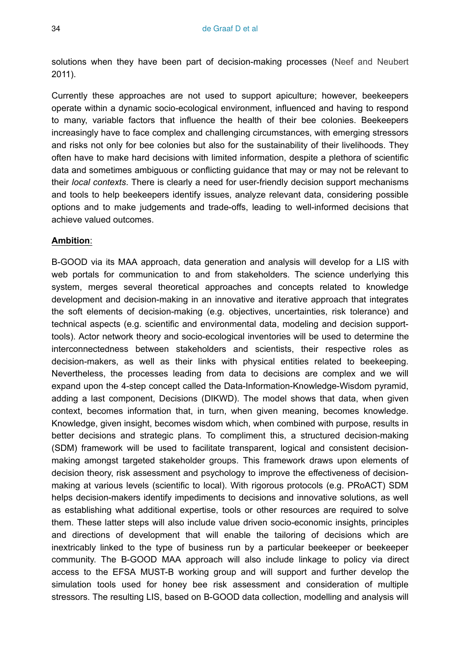solutions when they have been part of decision-making processes ([Neef and Neubert](#page-51-15) 2011).

Currently these approaches are not used to support apiculture; however, beekeepers operate within a dynamic socio-ecological environment, influenced and having to respond to many, variable factors that influence the health of their bee colonies. Beekeepers increasingly have to face complex and challenging circumstances, with emerging stressors and risks not only for bee colonies but also for the sustainability of their livelihoods. They often have to make hard decisions with limited information, despite a plethora of scientific data and sometimes ambiguous or conflicting guidance that may or may not be relevant to their *local contexts*. There is clearly a need for user-friendly decision support mechanisms and tools to help beekeepers identify issues, analyze relevant data, considering possible options and to make judgements and trade-offs, leading to well-informed decisions that achieve valued outcomes.

#### **Ambition**:

B-GOOD via its MAA approach, data generation and analysis will develop for a LIS with web portals for communication to and from stakeholders. The science underlying this system, merges several theoretical approaches and concepts related to knowledge development and decision-making in an innovative and iterative approach that integrates the soft elements of decision-making (e.g. objectives, uncertainties, risk tolerance) and technical aspects (e.g. scientific and environmental data, modeling and decision supporttools). Actor network theory and socio-ecological inventories will be used to determine the interconnectedness between stakeholders and scientists, their respective roles as decision-makers, as well as their links with physical entities related to beekeeping. Nevertheless, the processes leading from data to decisions are complex and we will expand upon the 4-step concept called the Data-Information-Knowledge-Wisdom pyramid, adding a last component, Decisions (DIKWD). The model shows that data, when given context, becomes information that, in turn, when given meaning, becomes knowledge. Knowledge, given insight, becomes wisdom which, when combined with purpose, results in better decisions and strategic plans. To compliment this, a structured decision-making (SDM) framework will be used to facilitate transparent, logical and consistent decisionmaking amongst targeted stakeholder groups. This framework draws upon elements of decision theory, risk assessment and psychology to improve the effectiveness of decisionmaking at various levels (scientific to local). With rigorous protocols (e.g. PRoACT) SDM helps decision-makers identify impediments to decisions and innovative solutions, as well as establishing what additional expertise, tools or other resources are required to solve them. These latter steps will also include value driven socio-economic insights, principles and directions of development that will enable the tailoring of decisions which are inextricably linked to the type of business run by a particular beekeeper or beekeeper community. The B-GOOD MAA approach will also include linkage to policy via direct access to the EFSA MUST-B working group and will support and further develop the simulation tools used for honey bee risk assessment and consideration of multiple stressors. The resulting LIS, based on B-GOOD data collection, modelling and analysis will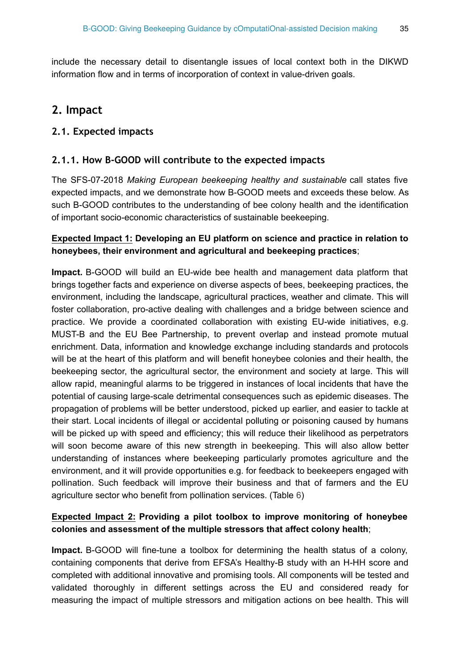include the necessary detail to disentangle issues of local context both in the DIKWD information flow and in terms of incorporation of context in value-driven goals.

# **2. Impact**

## **2.1. Expected impacts**

## **2.1.1. How B-GOOD will contribute to the expected impacts**

The SFS-07-2018 *Making European beekeeping healthy and sustainable* call states five expected impacts, and we demonstrate how B-GOOD meets and exceeds these below. As such B-GOOD contributes to the understanding of bee colony health and the identification of important socio-economic characteristics of sustainable beekeeping.

### **Expected Impact 1: Developing an EU platform on science and practice in relation to honeybees, their environment and agricultural and beekeeping practices**;

**Impact.** B-GOOD will build an EU-wide bee health and management data platform that brings together facts and experience on diverse aspects of bees, beekeeping practices, the environment, including the landscape, agricultural practices, weather and climate. This will foster collaboration, pro-active dealing with challenges and a bridge between science and practice. We provide a coordinated collaboration with existing EU-wide initiatives, e.g. MUST-B and the EU Bee Partnership, to prevent overlap and instead promote mutual enrichment. Data, information and knowledge exchange including standards and protocols will be at the heart of this platform and will benefit honeybee colonies and their health, the beekeeping sector, the agricultural sector, the environment and society at large. This will allow rapid, meaningful alarms to be triggered in instances of local incidents that have the potential of causing large-scale detrimental consequences such as epidemic diseases. The propagation of problems will be better understood, picked up earlier, and easier to tackle at their start. Local incidents of illegal or accidental polluting or poisoning caused by humans will be picked up with speed and efficiency; this will reduce their likelihood as perpetrators will soon become aware of this new strength in beekeeping. This will also allow better understanding of instances where beekeeping particularly promotes agriculture and the environment, and it will provide opportunities e.g. for feedback to beekeepers engaged with pollination. Such feedback will improve their business and that of farmers and the EU agriculture sector who benefit from pollination services. (Table [6](#page-35-0))

#### **Expected Impact 2: Providing a pilot toolbox to improve monitoring of honeybee colonies and assessment of the multiple stressors that affect colony health**;

**Impact.** B-GOOD will fine-tune a toolbox for determining the health status of a colony, containing components that derive from EFSA's Healthy-B study with an H-HH score and completed with additional innovative and promising tools. All components will be tested and validated thoroughly in different settings across the EU and considered ready for measuring the impact of multiple stressors and mitigation actions on bee health. This will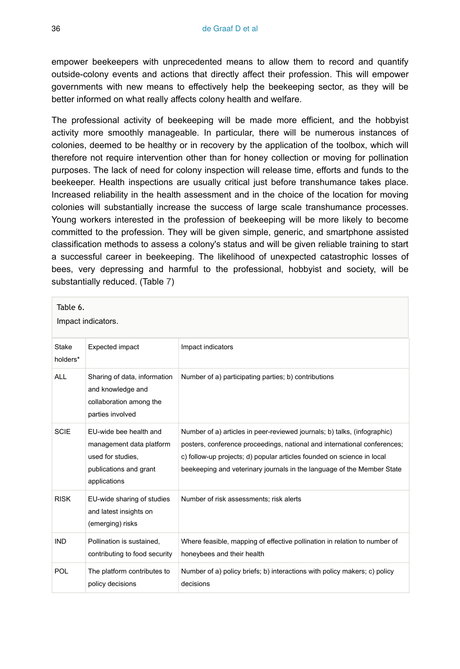empower beekeepers with unprecedented means to allow them to record and quantify outside-colony events and actions that directly affect their profession. This will empower governments with new means to effectively help the beekeeping sector, as they will be better informed on what really affects colony health and welfare.

The professional activity of beekeeping will be made more efficient, and the hobbyist activity more smoothly manageable. In particular, there will be numerous instances of colonies, deemed to be healthy or in recovery by the application of the toolbox, which will therefore not require intervention other than for honey collection or moving for pollination purposes. The lack of need for colony inspection will release time, efforts and funds to the beekeeper. Health inspections are usually critical just before transhumance takes place. Increased reliability in the health assessment and in the choice of the location for moving colonies will substantially increase the success of large scale transhumance processes. Young workers interested in the profession of beekeeping will be more likely to become committed to the profession. They will be given simple, generic, and smartphone assisted classification methods to assess a colony's status and will be given reliable training to start a successful career in beekeeping. The likelihood of unexpected catastrophic losses of bees, very depressing and harmful to the professional, hobbyist and society, will be substantially reduced. (Table [7](#page-36-0))

<span id="page-35-0"></span>

| Table 6.<br>Impact indicators. |                                                                                                                   |                                                                                                                                                                                                                                                                                                          |  |
|--------------------------------|-------------------------------------------------------------------------------------------------------------------|----------------------------------------------------------------------------------------------------------------------------------------------------------------------------------------------------------------------------------------------------------------------------------------------------------|--|
| <b>Stake</b><br>holders*       | <b>Expected impact</b>                                                                                            | Impact indicators                                                                                                                                                                                                                                                                                        |  |
| ALL                            | Sharing of data, information<br>and knowledge and<br>collaboration among the<br>parties involved                  | Number of a) participating parties; b) contributions                                                                                                                                                                                                                                                     |  |
| <b>SCIE</b>                    | EU-wide bee health and<br>management data platform<br>used for studies.<br>publications and grant<br>applications | Number of a) articles in peer-reviewed journals; b) talks, (infographic)<br>posters, conference proceedings, national and international conferences;<br>c) follow-up projects; d) popular articles founded on science in local<br>beekeeping and veterinary journals in the language of the Member State |  |
| <b>RISK</b>                    | EU-wide sharing of studies<br>and latest insights on<br>(emerging) risks                                          | Number of risk assessments: risk alerts                                                                                                                                                                                                                                                                  |  |
| <b>IND</b>                     | Pollination is sustained,<br>contributing to food security                                                        | Where feasible, mapping of effective pollination in relation to number of<br>honeybees and their health                                                                                                                                                                                                  |  |
| POL                            | The platform contributes to<br>policy decisions                                                                   | Number of a) policy briefs; b) interactions with policy makers; c) policy<br>decisions                                                                                                                                                                                                                   |  |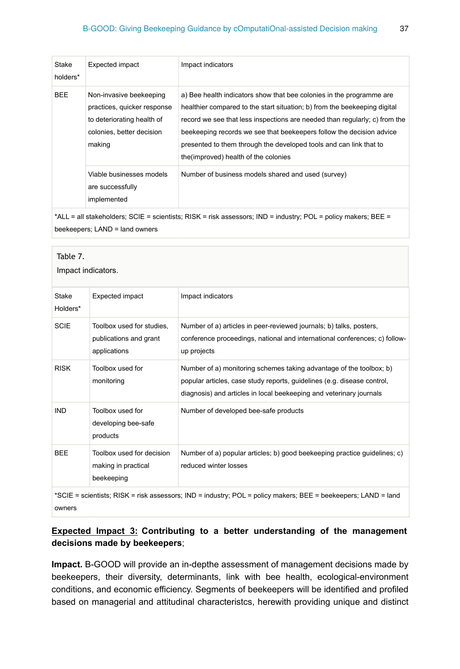| Stake<br>holders* | Expected impact                                                                                                             | Impact indicators                                                                                                                                                                                                                                                                                                                                                                                                      |
|-------------------|-----------------------------------------------------------------------------------------------------------------------------|------------------------------------------------------------------------------------------------------------------------------------------------------------------------------------------------------------------------------------------------------------------------------------------------------------------------------------------------------------------------------------------------------------------------|
| <b>BEE</b>        | Non-invasive beekeeping<br>practices, quicker response<br>to deteriorating health of<br>colonies, better decision<br>making | a) Bee health indicators show that bee colonies in the programme are<br>healthier compared to the start situation; b) from the beekeeping digital<br>record we see that less inspections are needed than regularly; c) from the<br>beekeeping records we see that beekeepers follow the decision advice<br>presented to them through the developed tools and can link that to<br>the (improved) health of the colonies |
|                   | Viable businesses models<br>are successfully<br>implemented                                                                 | Number of business models shared and used (survey)                                                                                                                                                                                                                                                                                                                                                                     |

\*ALL = all stakeholders; SCIE = scientists; RISK = risk assessors; IND = industry; POL = policy makers; BEE = beekeepers; LAND = land owners

<span id="page-36-0"></span>

| Table 7.<br>Impact indicators.                                                                                          |                                                                     |                                                                                                                                                                                                                       |  |
|-------------------------------------------------------------------------------------------------------------------------|---------------------------------------------------------------------|-----------------------------------------------------------------------------------------------------------------------------------------------------------------------------------------------------------------------|--|
| Stake<br>Holders*                                                                                                       | <b>Expected impact</b>                                              | Impact indicators                                                                                                                                                                                                     |  |
| <b>SCIE</b>                                                                                                             | Toolbox used for studies.<br>publications and grant<br>applications | Number of a) articles in peer-reviewed journals; b) talks, posters,<br>conference proceedings, national and international conferences; c) follow-<br>up projects                                                      |  |
| <b>RISK</b>                                                                                                             | Toolbox used for<br>monitoring                                      | Number of a) monitoring schemes taking advantage of the toolbox; b)<br>popular articles, case study reports, quidelines (e.g. disease control,<br>diagnosis) and articles in local beekeeping and veterinary journals |  |
| <b>IND</b>                                                                                                              | Toolbox used for<br>developing bee-safe<br>products                 | Number of developed bee-safe products                                                                                                                                                                                 |  |
| <b>BEE</b>                                                                                                              | Toolbox used for decision<br>making in practical<br>beekeeping      | Number of a) popular articles; b) good beekeeping practice guidelines; c)<br>reduced winter losses                                                                                                                    |  |
| *SCIE = scientists; RISK = risk assessors; IND = industry; POL = policy makers; BEE = beekeepers; LAND = land<br>owners |                                                                     |                                                                                                                                                                                                                       |  |

## **Expected Impact 3: Contributing to a better understanding of the management decisions made by beekeepers**;

**Impact.** B-GOOD will provide an in-depthe assessment of management decisions made by beekeepers, their diversity, determinants, link with bee health, ecological-environment conditions, and economic efficiency. Segments of beekeepers will be identified and profiled based on managerial and attitudinal characteristcs, herewith providing unique and distinct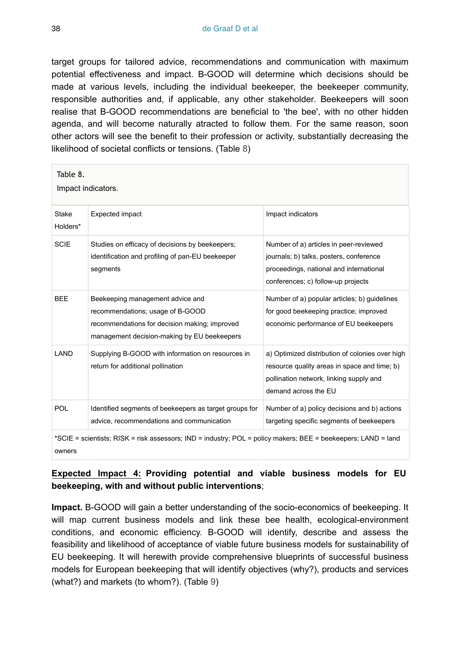target groups for tailored advice, recommendations and communication with maximum potential effectiveness and impact. B-GOOD will determine which decisions should be made at various levels, including the individual beekeeper, the beekeeper community, responsible authorities and, if applicable, any other stakeholder. Beekeepers will soon realise that B-GOOD recommendations are beneficial to 'the bee', with no other hidden agenda, and will become naturally atracted to follow them. For the same reason, soon other actors will see the benefit to their profession or activity, substantially decreasing the likelihood of societal conflicts or tensions. (Table [8\)](#page-37-0)

<span id="page-37-0"></span>

| Table 8.<br>Impact indicators.                                                                                |                                                                                                                                                                      |                                                                                                                                                                    |  |
|---------------------------------------------------------------------------------------------------------------|----------------------------------------------------------------------------------------------------------------------------------------------------------------------|--------------------------------------------------------------------------------------------------------------------------------------------------------------------|--|
| Stake<br>Holders*                                                                                             | <b>Expected impact</b>                                                                                                                                               | Impact indicators                                                                                                                                                  |  |
| <b>SCIE</b>                                                                                                   | Studies on efficacy of decisions by beekeepers;<br>identification and profiling of pan-EU beekeeper<br>segments                                                      | Number of a) articles in peer-reviewed<br>journals; b) talks, posters, conference<br>proceedings, national and international<br>conferences; c) follow-up projects |  |
| <b>BEE</b>                                                                                                    | Beekeeping management advice and<br>recommendations; usage of B-GOOD<br>recommendations for decision making; improved<br>management decision-making by EU beekeepers | Number of a) popular articles; b) guidelines<br>for good beekeeping practice; improved<br>economic performance of EU beekeepers                                    |  |
| LAND                                                                                                          | Supplying B-GOOD with information on resources in<br>return for additional pollination                                                                               | a) Optimized distribution of colonies over high<br>resource quality areas in space and time; b)<br>pollination network, linking supply and<br>demand across the EU |  |
| <b>POL</b>                                                                                                    | Identified segments of beekeepers as target groups for<br>advice, recommendations and communication                                                                  | Number of a) policy decisions and b) actions<br>targeting specific segments of beekeepers                                                                          |  |
| *SCIE = scientists; RISK = risk assessors; IND = industry; POL = policy makers; BEE = beekeepers; LAND = land |                                                                                                                                                                      |                                                                                                                                                                    |  |

owners

## **Expected Impact 4: Providing potential and viable business models for EU beekeeping, with and without public interventions**;

**Impact.** B-GOOD will gain a better understanding of the socio-economics of beekeeping. It will map current business models and link these bee health, ecological-environment conditions, and economic efficiency. B-GOOD will identify, describe and assess the feasibility and likelihood of acceptance of viable future business models for sustainability of EU beekeeping. It will herewith provide comprehensive blueprints of successful business models for European beekeeping that will identify objectives (why?), products and services (what?) and markets (to whom?). (Table [9](#page-38-0))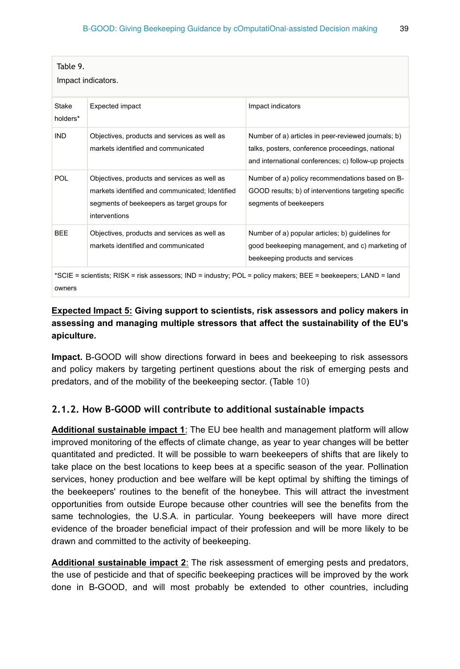<span id="page-38-0"></span>

| Table 9.<br>Impact indicators.                                                                                          |                                                                                                                                                                 |                                                                                                                                                                 |  |
|-------------------------------------------------------------------------------------------------------------------------|-----------------------------------------------------------------------------------------------------------------------------------------------------------------|-----------------------------------------------------------------------------------------------------------------------------------------------------------------|--|
| Stake<br>holders*                                                                                                       | <b>Expected impact</b>                                                                                                                                          | Impact indicators                                                                                                                                               |  |
| <b>IND</b>                                                                                                              | Objectives, products and services as well as<br>markets identified and communicated                                                                             | Number of a) articles in peer-reviewed journals; b)<br>talks, posters, conference proceedings, national<br>and international conferences; c) follow-up projects |  |
| POL                                                                                                                     | Objectives, products and services as well as<br>markets identified and communicated: Identified<br>segments of beekeepers as target groups for<br>interventions | Number of a) policy recommendations based on B-<br>GOOD results; b) of interventions targeting specific<br>segments of beekeepers                               |  |
| <b>BEE</b>                                                                                                              | Objectives, products and services as well as<br>markets identified and communicated                                                                             | Number of a) popular articles; b) guidelines for<br>good beekeeping management, and c) marketing of<br>beekeeping products and services                         |  |
| *SCIE = scientists; RISK = risk assessors; IND = industry; POL = policy makers; BEE = beekeepers; LAND = land<br>owners |                                                                                                                                                                 |                                                                                                                                                                 |  |

## **Expected Impact 5: Giving support to scientists, risk assessors and policy makers in assessing and managing multiple stressors that affect the sustainability of the EU's apiculture.**

**Impact.** B-GOOD will show directions forward in bees and beekeeping to risk assessors and policy makers by targeting pertinent questions about the risk of emerging pests and predators, and of the mobility of the beekeeping sector. (Table [10](#page-39-0))

#### **2.1.2. How B-GOOD will contribute to additional sustainable impacts**

**Additional sustainable impact 1**: The EU bee health and management platform will allow improved monitoring of the effects of climate change, as year to year changes will be better quantitated and predicted. It will be possible to warn beekeepers of shifts that are likely to take place on the best locations to keep bees at a specific season of the year. Pollination services, honey production and bee welfare will be kept optimal by shifting the timings of the beekeepers' routines to the benefit of the honeybee. This will attract the investment opportunities from outside Europe because other countries will see the benefits from the same technologies, the U.S.A. in particular. Young beekeepers will have more direct evidence of the broader beneficial impact of their profession and will be more likely to be drawn and committed to the activity of beekeeping.

**Additional sustainable impact 2**: The risk assessment of emerging pests and predators, the use of pesticide and that of specific beekeeping practices will be improved by the work done in B-GOOD, and will most probably be extended to other countries, including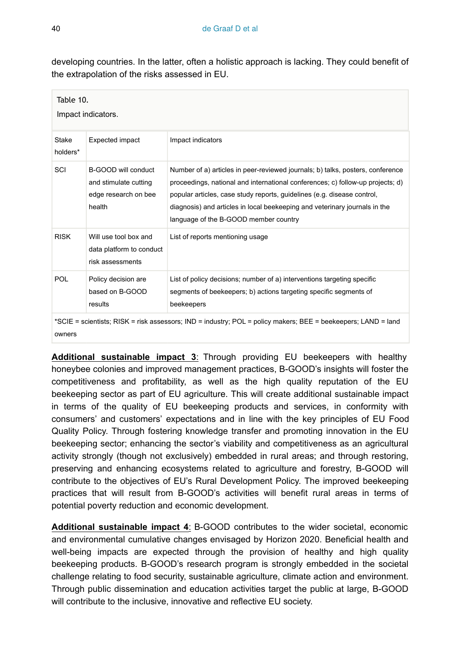developing countries. In the latter, often a holistic approach is lacking. They could benefit of the extrapolation of the risks assessed in EU.

<span id="page-39-0"></span>

| Table 10.<br>Impact indicators.                                                                               |                                                                                |                                                                                                                                                                                                                                                                                                                                                                    |  |
|---------------------------------------------------------------------------------------------------------------|--------------------------------------------------------------------------------|--------------------------------------------------------------------------------------------------------------------------------------------------------------------------------------------------------------------------------------------------------------------------------------------------------------------------------------------------------------------|--|
| Stake<br>holders*                                                                                             | Expected impact                                                                | Impact indicators                                                                                                                                                                                                                                                                                                                                                  |  |
| SCI                                                                                                           | B-GOOD will conduct<br>and stimulate cutting<br>edge research on bee<br>health | Number of a) articles in peer-reviewed journals; b) talks, posters, conference<br>proceedings, national and international conferences; c) follow-up projects; d)<br>popular articles, case study reports, guidelines (e.g. disease control,<br>diagnosis) and articles in local beekeeping and veterinary journals in the<br>language of the B-GOOD member country |  |
| <b>RISK</b>                                                                                                   | Will use tool box and<br>data platform to conduct<br>risk assessments          | List of reports mentioning usage                                                                                                                                                                                                                                                                                                                                   |  |
| POL                                                                                                           | Policy decision are<br>based on B-GOOD<br>results                              | List of policy decisions; number of a) interventions targeting specific<br>segments of beekeepers; b) actions targeting specific segments of<br>beekeepers                                                                                                                                                                                                         |  |
| *SCIE = scientists; RISK = risk assessors; IND = industry; POL = policy makers; BEE = beekeepers; LAND = land |                                                                                |                                                                                                                                                                                                                                                                                                                                                                    |  |

**Additional sustainable impact 3**: Through providing EU beekeepers with healthy honeybee colonies and improved management practices, B-GOOD's insights will foster the competitiveness and profitability, as well as the high quality reputation of the EU beekeeping sector as part of EU agriculture. This will create additional sustainable impact in terms of the quality of EU beekeeping products and services, in conformity with consumers' and customers' expectations and in line with the key principles of EU Food Quality Policy. Through fostering knowledge transfer and promoting innovation in the EU beekeeping sector; enhancing the sector's viability and competitiveness as an agricultural activity strongly (though not exclusively) embedded in rural areas; and through restoring, preserving and enhancing ecosystems related to agriculture and forestry, B-GOOD will contribute to the objectives of EU's Rural Development Policy. The improved beekeeping practices that will result from B-GOOD's activities will benefit rural areas in terms of potential poverty reduction and economic development.

**Additional sustainable impact 4**: B-GOOD contributes to the wider societal, economic and environmental cumulative changes envisaged by Horizon 2020. Beneficial health and well-being impacts are expected through the provision of healthy and high quality beekeeping products. B-GOOD's research program is strongly embedded in the societal challenge relating to food security, sustainable agriculture, climate action and environment. Through public dissemination and education activities target the public at large, B-GOOD will contribute to the inclusive, innovative and reflective EU society.

owners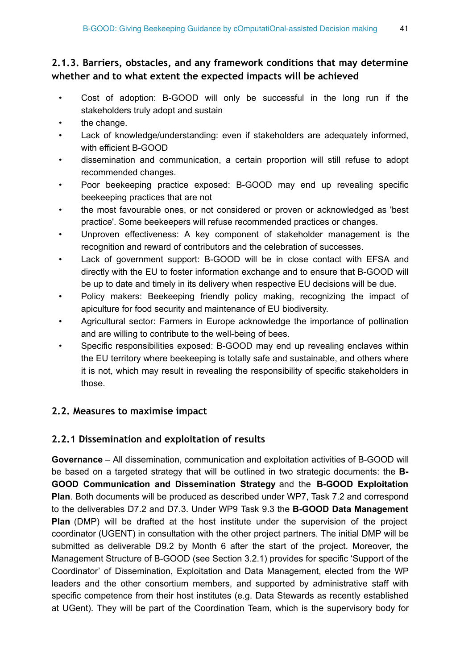## **2.1.3. Barriers, obstacles, and any framework conditions that may determine whether and to what extent the expected impacts will be achieved**

- Cost of adoption: B-GOOD will only be successful in the long run if the stakeholders truly adopt and sustain
- the change.
- Lack of knowledge/understanding: even if stakeholders are adequately informed, with efficient B-GOOD
- dissemination and communication, a certain proportion will still refuse to adopt recommended changes.
- Poor beekeeping practice exposed: B-GOOD may end up revealing specific beekeeping practices that are not
- the most favourable ones, or not considered or proven or acknowledged as 'best practice'. Some beekeepers will refuse recommended practices or changes.
- Unproven effectiveness: A key component of stakeholder management is the recognition and reward of contributors and the celebration of successes.
- Lack of government support: B-GOOD will be in close contact with EFSA and directly with the EU to foster information exchange and to ensure that B-GOOD will be up to date and timely in its delivery when respective EU decisions will be due.
- Policy makers: Beekeeping friendly policy making, recognizing the impact of apiculture for food security and maintenance of EU biodiversity.
- Agricultural sector: Farmers in Europe acknowledge the importance of pollination and are willing to contribute to the well-being of bees.
- Specific responsibilities exposed: B-GOOD may end up revealing enclaves within the EU territory where beekeeping is totally safe and sustainable, and others where it is not, which may result in revealing the responsibility of specific stakeholders in those.

## **2.2. Measures to maximise impact**

## **2.2.1 Dissemination and exploitation of results**

**Governance** – All dissemination, communication and exploitation activities of B-GOOD will be based on a targeted strategy that will be outlined in two strategic documents: the **B-GOOD Communication and Dissemination Strategy** and the **B-GOOD Exploitation Plan**. Both documents will be produced as described under WP7, Task 7.2 and correspond to the deliverables D7.2 and D7.3. Under WP9 Task 9.3 the **B-GOOD Data Management Plan** (DMP) will be drafted at the host institute under the supervision of the project coordinator (UGENT) in consultation with the other project partners. The initial DMP will be submitted as deliverable D9.2 by Month 6 after the start of the project. Moreover, the Management Structure of B-GOOD (see Section 3.2.1) provides for specific 'Support of the Coordinator' of Dissemination, Exploitation and Data Management, elected from the WP leaders and the other consortium members, and supported by administrative staff with specific competence from their host institutes (e.g. Data Stewards as recently established at UGent). They will be part of the Coordination Team, which is the supervisory body for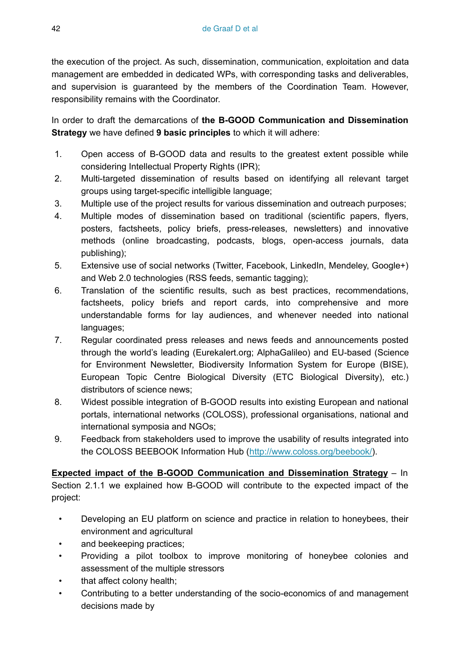the execution of the project. As such, dissemination, communication, exploitation and data management are embedded in dedicated WPs, with corresponding tasks and deliverables, and supervision is guaranteed by the members of the Coordination Team. However, responsibility remains with the Coordinator.

In order to draft the demarcations of **the B-GOOD Communication and Dissemination Strategy** we have defined **9 basic principles** to which it will adhere:

- 1. Open access of B-GOOD data and results to the greatest extent possible while considering Intellectual Property Rights (IPR);
- 2. Multi-targeted dissemination of results based on identifying all relevant target groups using target-specific intelligible language;
- 3. Multiple use of the project results for various dissemination and outreach purposes;
- 4. Multiple modes of dissemination based on traditional (scientific papers, flyers, posters, factsheets, policy briefs, press-releases, newsletters) and innovative methods (online broadcasting, podcasts, blogs, open-access journals, data publishing);
- 5. Extensive use of social networks (Twitter, Facebook, LinkedIn, Mendeley, Google+) and Web 2.0 technologies (RSS feeds, semantic tagging);
- 6. Translation of the scientific results, such as best practices, recommendations, factsheets, policy briefs and report cards, into comprehensive and more understandable forms for lay audiences, and whenever needed into national languages;
- 7. Regular coordinated press releases and news feeds and announcements posted through the world's leading (Eurekalert.org; AlphaGalileo) and EU-based (Science for Environment Newsletter, Biodiversity Information System for Europe (BISE), European Topic Centre Biological Diversity (ETC Biological Diversity), etc.) distributors of science news;
- 8. Widest possible integration of B-GOOD results into existing European and national portals, international networks (COLOSS), professional organisations, national and international symposia and NGOs;
- 9. Feedback from stakeholders used to improve the usability of results integrated into the COLOSS BEEBOOK Information Hub (<http://www.coloss.org/beebook/>).

**Expected impact of the B-GOOD Communication and Dissemination Strategy** – In Section 2.1.1 we explained how B-GOOD will contribute to the expected impact of the project:

- Developing an EU platform on science and practice in relation to honeybees, their environment and agricultural
- and beekeeping practices;
- Providing a pilot toolbox to improve monitoring of honeybee colonies and assessment of the multiple stressors
- that affect colony health;
- Contributing to a better understanding of the socio-economics of and management decisions made by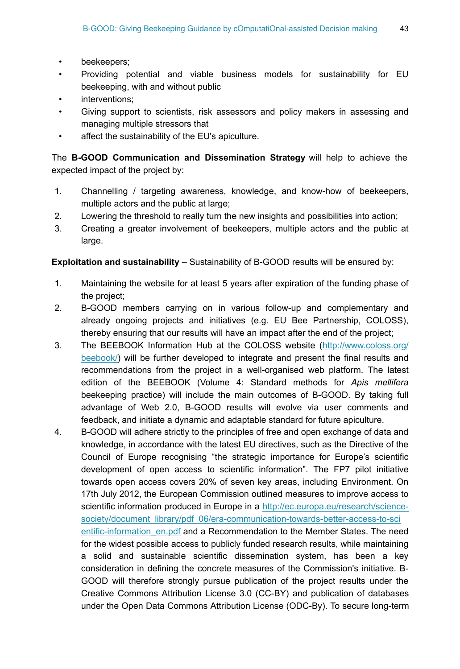- beekeepers;
- Providing potential and viable business models for sustainability for EU beekeeping, with and without public
- interventions;
- Giving support to scientists, risk assessors and policy makers in assessing and managing multiple stressors that
- affect the sustainability of the EU's apiculture.

The **B-GOOD Communication and Dissemination Strategy** will help to achieve the expected impact of the project by:

- 1. Channelling / targeting awareness, knowledge, and know-how of beekeepers, multiple actors and the public at large;
- 2. Lowering the threshold to really turn the new insights and possibilities into action;
- 3. Creating a greater involvement of beekeepers, multiple actors and the public at large.

**Exploitation and sustainability** – Sustainability of B-GOOD results will be ensured by:

- 1. Maintaining the website for at least 5 years after expiration of the funding phase of the project;
- 2. B-GOOD members carrying on in various follow-up and complementary and already ongoing projects and initiatives (e.g. EU Bee Partnership, COLOSS), thereby ensuring that our results will have an impact after the end of the project;
- 3. The BEEBOOK Information Hub at the COLOSS website ([http://www.coloss.org/](http://www.coloss.org/beebook/) [beebook/](http://www.coloss.org/beebook/)) will be further developed to integrate and present the final results and recommendations from the project in a well-organised web platform. The latest edition of the BEEBOOK (Volume 4: Standard methods for *Apis mellifera* beekeeping practice) will include the main outcomes of B-GOOD. By taking full advantage of Web 2.0, B-GOOD results will evolve via user comments and feedback, and initiate a dynamic and adaptable standard for future apiculture.
- 4. B-GOOD will adhere strictly to the principles of free and open exchange of data and knowledge, in accordance with the latest EU directives, such as the Directive of the Council of Europe recognising "the strategic importance for Europe's scientific development of open access to scientific information". The FP7 pilot initiative towards open access covers 20% of seven key areas, including Environment. On 17th July 2012, the European Commission outlined measures to improve access to scientific information produced in Europe in a [http://ec.europa.eu/research/science](http://ec.europa.eu/research/science-society/document_library/pdf_06/era-communication-towards-better-access-to-scientific-information_en.pdf)[society/document\\_library/pdf\\_06/era-communication-towards-better-access-to-sci](http://ec.europa.eu/research/science-society/document_library/pdf_06/era-communication-towards-better-access-to-scientific-information_en.pdf) [entific-information\\_en.pdf](http://ec.europa.eu/research/science-society/document_library/pdf_06/era-communication-towards-better-access-to-scientific-information_en.pdf) and a Recommendation to the Member States. The need for the widest possible access to publicly funded research results, while maintaining a solid and sustainable scientific dissemination system, has been a key consideration in defining the concrete measures of the Commission's initiative. B-GOOD will therefore strongly pursue publication of the project results under the Creative Commons Attribution License 3.0 (CC-BY) and publication of databases under the Open Data Commons Attribution License (ODC-By). To secure long-term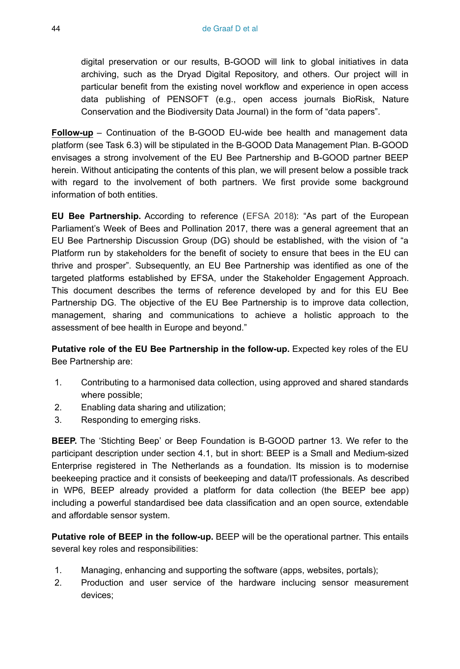digital preservation or our results, B-GOOD will link to global initiatives in data archiving, such as the Dryad Digital Repository, and others. Our project will in particular benefit from the existing novel workflow and experience in open access data publishing of PENSOFT (e.g., open access journals BioRisk, Nature Conservation and the Biodiversity Data Journal) in the form of "data papers".

**Follow-up** – Continuation of the B-GOOD EU-wide bee health and management data platform (see Task 6.3) will be stipulated in the B-GOOD Data Management Plan. B-GOOD envisages a strong involvement of the EU Bee Partnership and B-GOOD partner BEEP herein. Without anticipating the contents of this plan, we will present below a possible track with regard to the involvement of both partners. We first provide some background information of both entities.

**EU Bee Partnership.** According to reference ([EFSA 2018](#page-49-13)): "As part of the European Parliament's Week of Bees and Pollination 2017, there was a general agreement that an EU Bee Partnership Discussion Group (DG) should be established, with the vision of "a Platform run by stakeholders for the benefit of society to ensure that bees in the EU can thrive and prosper". Subsequently, an EU Bee Partnership was identified as one of the targeted platforms established by EFSA, under the Stakeholder Engagement Approach. This document describes the terms of reference developed by and for this EU Bee Partnership DG. The objective of the EU Bee Partnership is to improve data collection, management, sharing and communications to achieve a holistic approach to the assessment of bee health in Europe and beyond."

**Putative role of the EU Bee Partnership in the follow-up.** Expected key roles of the EU Bee Partnership are:

- 1. Contributing to a harmonised data collection, using approved and shared standards where possible;
- 2. Enabling data sharing and utilization;
- 3. Responding to emerging risks.

**BEEP.** The 'Stichting Beep' or Beep Foundation is B-GOOD partner 13. We refer to the participant description under section 4.1, but in short: BEEP is a Small and Medium-sized Enterprise registered in The Netherlands as a foundation. Its mission is to modernise beekeeping practice and it consists of beekeeping and data/IT professionals. As described in WP6, BEEP already provided a platform for data collection (the BEEP bee app) including a powerful standardised bee data classification and an open source, extendable and affordable sensor system.

**Putative role of BEEP in the follow-up.** BEEP will be the operational partner. This entails several key roles and responsibilities:

- 1. Managing, enhancing and supporting the software (apps, websites, portals);
- 2. Production and user service of the hardware inclucing sensor measurement devices;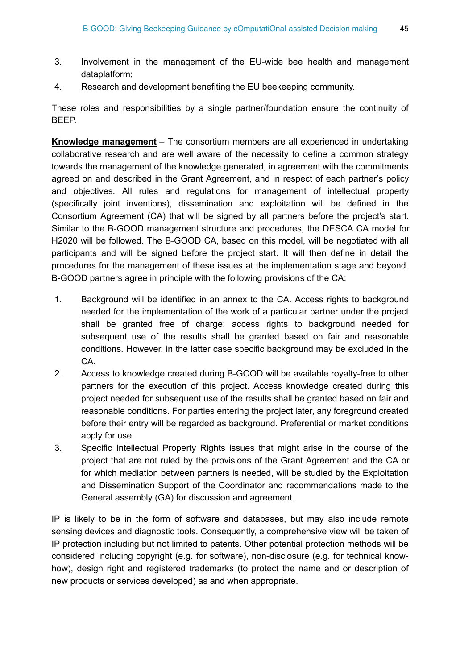- 3. Involvement in the management of the EU-wide bee health and management dataplatform;
- 4. Research and development benefiting the EU beekeeping community.

These roles and responsibilities by a single partner/foundation ensure the continuity of BEEP.

**Knowledge management** – The consortium members are all experienced in undertaking collaborative research and are well aware of the necessity to define a common strategy towards the management of the knowledge generated, in agreement with the commitments agreed on and described in the Grant Agreement, and in respect of each partner's policy and objectives. All rules and regulations for management of intellectual property (specifically joint inventions), dissemination and exploitation will be defined in the Consortium Agreement (CA) that will be signed by all partners before the project's start. Similar to the B-GOOD management structure and procedures, the DESCA CA model for H2020 will be followed. The B-GOOD CA, based on this model, will be negotiated with all participants and will be signed before the project start. It will then define in detail the procedures for the management of these issues at the implementation stage and beyond. B-GOOD partners agree in principle with the following provisions of the CA:

- 1. Background will be identified in an annex to the CA. Access rights to background needed for the implementation of the work of a particular partner under the project shall be granted free of charge; access rights to background needed for subsequent use of the results shall be granted based on fair and reasonable conditions. However, in the latter case specific background may be excluded in the CA.
- 2. Access to knowledge created during B-GOOD will be available royalty-free to other partners for the execution of this project. Access knowledge created during this project needed for subsequent use of the results shall be granted based on fair and reasonable conditions. For parties entering the project later, any foreground created before their entry will be regarded as background. Preferential or market conditions apply for use.
- 3. Specific Intellectual Property Rights issues that might arise in the course of the project that are not ruled by the provisions of the Grant Agreement and the CA or for which mediation between partners is needed, will be studied by the Exploitation and Dissemination Support of the Coordinator and recommendations made to the General assembly (GA) for discussion and agreement.

IP is likely to be in the form of software and databases, but may also include remote sensing devices and diagnostic tools. Consequently, a comprehensive view will be taken of IP protection including but not limited to patents. Other potential protection methods will be considered including copyright (e.g. for software), non-disclosure (e.g. for technical knowhow), design right and registered trademarks (to protect the name and or description of new products or services developed) as and when appropriate.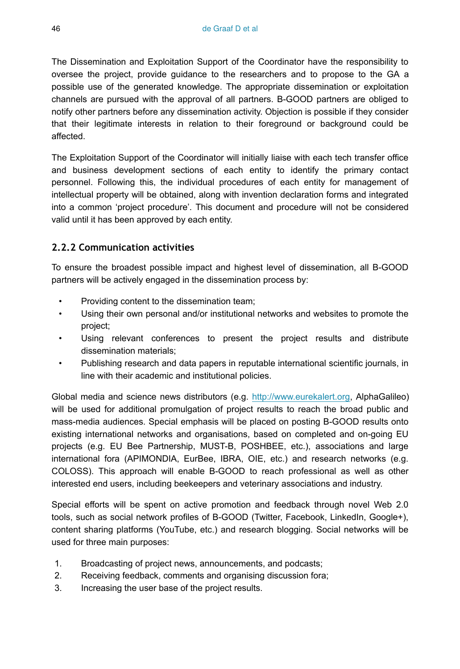The Dissemination and Exploitation Support of the Coordinator have the responsibility to oversee the project, provide guidance to the researchers and to propose to the GA a possible use of the generated knowledge. The appropriate dissemination or exploitation channels are pursued with the approval of all partners. B-GOOD partners are obliged to notify other partners before any dissemination activity. Objection is possible if they consider that their legitimate interests in relation to their foreground or background could be affected.

The Exploitation Support of the Coordinator will initially liaise with each tech transfer office and business development sections of each entity to identify the primary contact personnel. Following this, the individual procedures of each entity for management of intellectual property will be obtained, along with invention declaration forms and integrated into a common 'project procedure'. This document and procedure will not be considered valid until it has been approved by each entity.

## **2.2.2 Communication activities**

To ensure the broadest possible impact and highest level of dissemination, all B-GOOD partners will be actively engaged in the dissemination process by:

- Providing content to the dissemination team;
- Using their own personal and/or institutional networks and websites to promote the project;
- Using relevant conferences to present the project results and distribute dissemination materials;
- Publishing research and data papers in reputable international scientific journals, in line with their academic and institutional policies.

Global media and science news distributors (e.g. [http://www.eurekalert.org,](http://www.eurekalert.org) AlphaGalileo) will be used for additional promulgation of project results to reach the broad public and mass-media audiences. Special emphasis will be placed on posting B-GOOD results onto existing international networks and organisations, based on completed and on-going EU projects (e.g. EU Bee Partnership, MUST-B, POSHBEE, etc.), associations and large international fora (APIMONDIA, EurBee, IBRA, OIE, etc.) and research networks (e.g. COLOSS). This approach will enable B-GOOD to reach professional as well as other interested end users, including beekeepers and veterinary associations and industry.

Special efforts will be spent on active promotion and feedback through novel Web 2.0 tools, such as social network profiles of B-GOOD (Twitter, Facebook, LinkedIn, Google+), content sharing platforms (YouTube, etc.) and research blogging. Social networks will be used for three main purposes:

- 1. Broadcasting of project news, announcements, and podcasts;
- 2. Receiving feedback, comments and organising discussion fora;
- 3. Increasing the user base of the project results.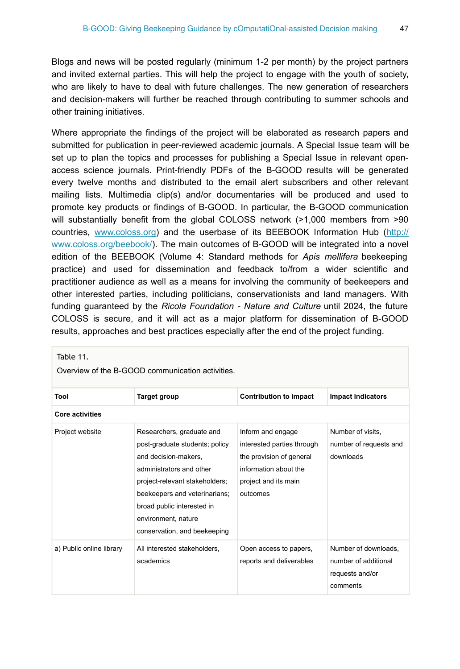Blogs and news will be posted regularly (minimum 1-2 per month) by the project partners and invited external parties. This will help the project to engage with the youth of society, who are likely to have to deal with future challenges. The new generation of researchers and decision-makers will further be reached through contributing to summer schools and other training initiatives.

Where appropriate the findings of the project will be elaborated as research papers and submitted for publication in peer-reviewed academic journals. A Special Issue team will be set up to plan the topics and processes for publishing a Special Issue in relevant openaccess science journals. Print-friendly PDFs of the B-GOOD results will be generated every twelve months and distributed to the email alert subscribers and other relevant mailing lists. Multimedia clip(s) and/or documentaries will be produced and used to promote key products or findings of B-GOOD. In particular, the B-GOOD communication will substantially benefit from the global COLOSS network (>1,000 members from >90 countries, [www.coloss.org\)](https://www.coloss.org/) and the userbase of its BEEBOOK Information Hub ([http://](http://www.coloss.org/beebook/) [www.coloss.org/beebook/](http://www.coloss.org/beebook/)). The main outcomes of B-GOOD will be integrated into a novel edition of the BEEBOOK (Volume 4: Standard methods for *Apis mellifera* beekeeping practice) and used for dissemination and feedback to/from a wider scientific and practitioner audience as well as a means for involving the community of beekeepers and other interested parties, including politicians, conservationists and land managers. With funding guaranteed by the *Ricola Foundation - Nature and Culture* until 2024, the future COLOSS is secure, and it will act as a major platform for dissemination of B-GOOD results, approaches and best practices especially after the end of the project funding.

| Table 11.<br>Overview of the B-GOOD communication activities. |                                                                                                                                                                                                                                                                         |                                                                                                                                          |                                                                             |  |
|---------------------------------------------------------------|-------------------------------------------------------------------------------------------------------------------------------------------------------------------------------------------------------------------------------------------------------------------------|------------------------------------------------------------------------------------------------------------------------------------------|-----------------------------------------------------------------------------|--|
| Tool                                                          | <b>Target group</b>                                                                                                                                                                                                                                                     | <b>Contribution to impact</b>                                                                                                            | <b>Impact indicators</b>                                                    |  |
| <b>Core activities</b>                                        |                                                                                                                                                                                                                                                                         |                                                                                                                                          |                                                                             |  |
| Project website                                               | Researchers, graduate and<br>post-graduate students; policy<br>and decision-makers,<br>administrators and other<br>project-relevant stakeholders;<br>beekeepers and veterinarians;<br>broad public interested in<br>environment, nature<br>conservation, and beekeeping | Inform and engage<br>interested parties through<br>the provision of general<br>information about the<br>project and its main<br>outcomes | Number of visits.<br>number of requests and<br>downloads                    |  |
| a) Public online library                                      | All interested stakeholders,<br>academics                                                                                                                                                                                                                               | Open access to papers,<br>reports and deliverables                                                                                       | Number of downloads,<br>number of additional<br>requests and/or<br>comments |  |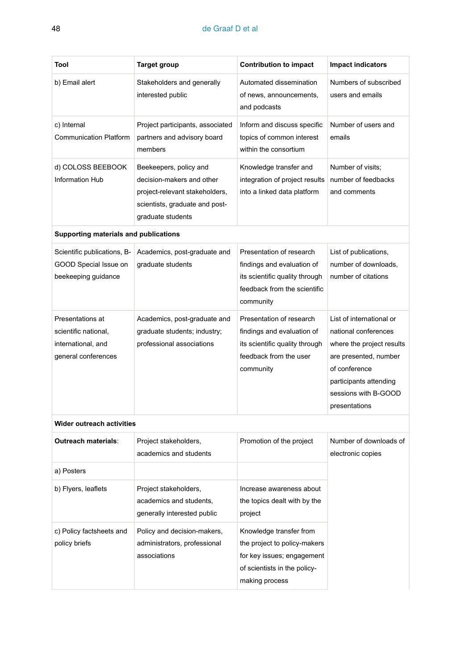#### 48 de Graaf D et al

| Tool                                                                                  | <b>Target group</b>                                                                                                                          | <b>Contribution to impact</b>                                                                                                           | <b>Impact indicators</b>                                                                                                                                                                   |  |
|---------------------------------------------------------------------------------------|----------------------------------------------------------------------------------------------------------------------------------------------|-----------------------------------------------------------------------------------------------------------------------------------------|--------------------------------------------------------------------------------------------------------------------------------------------------------------------------------------------|--|
| b) Email alert                                                                        | Stakeholders and generally<br>interested public                                                                                              | Automated dissemination<br>of news, announcements,<br>and podcasts                                                                      | Numbers of subscribed<br>users and emails                                                                                                                                                  |  |
| c) Internal<br><b>Communication Platform</b>                                          | Project participants, associated<br>partners and advisory board<br>members                                                                   | Inform and discuss specific<br>topics of common interest<br>within the consortium                                                       | Number of users and<br>emails                                                                                                                                                              |  |
| d) COLOSS BEEBOOK<br><b>Information Hub</b>                                           | Beekeepers, policy and<br>decision-makers and other<br>project-relevant stakeholders,<br>scientists, graduate and post-<br>graduate students | Knowledge transfer and<br>integration of project results<br>into a linked data platform                                                 | Number of visits:<br>number of feedbacks<br>and comments                                                                                                                                   |  |
| Supporting materials and publications                                                 |                                                                                                                                              |                                                                                                                                         |                                                                                                                                                                                            |  |
| Scientific publications, B-<br>GOOD Special Issue on<br>beekeeping guidance           | Academics, post-graduate and<br>graduate students                                                                                            | Presentation of research<br>findings and evaluation of<br>its scientific quality through<br>feedback from the scientific<br>community   | List of publications,<br>number of downloads,<br>number of citations                                                                                                                       |  |
| Presentations at<br>scientific national,<br>international, and<br>general conferences | Academics, post-graduate and<br>graduate students; industry;<br>professional associations                                                    | Presentation of research<br>findings and evaluation of<br>its scientific quality through<br>feedback from the user<br>community         | List of international or<br>national conferences<br>where the project results<br>are presented, number<br>of conference<br>participants attending<br>sessions with B-GOOD<br>presentations |  |
| Wider outreach activities                                                             |                                                                                                                                              |                                                                                                                                         |                                                                                                                                                                                            |  |
| <b>Outreach materials:</b>                                                            | Project stakeholders,<br>academics and students                                                                                              | Promotion of the project                                                                                                                | Number of downloads of<br>electronic copies                                                                                                                                                |  |
| a) Posters                                                                            |                                                                                                                                              |                                                                                                                                         |                                                                                                                                                                                            |  |
| b) Flyers, leaflets                                                                   | Project stakeholders,<br>academics and students,<br>generally interested public                                                              | Increase awareness about<br>the topics dealt with by the<br>project                                                                     |                                                                                                                                                                                            |  |
| c) Policy factsheets and<br>policy briefs                                             | Policy and decision-makers,<br>administrators, professional<br>associations                                                                  | Knowledge transfer from<br>the project to policy-makers<br>for key issues; engagement<br>of scientists in the policy-<br>making process |                                                                                                                                                                                            |  |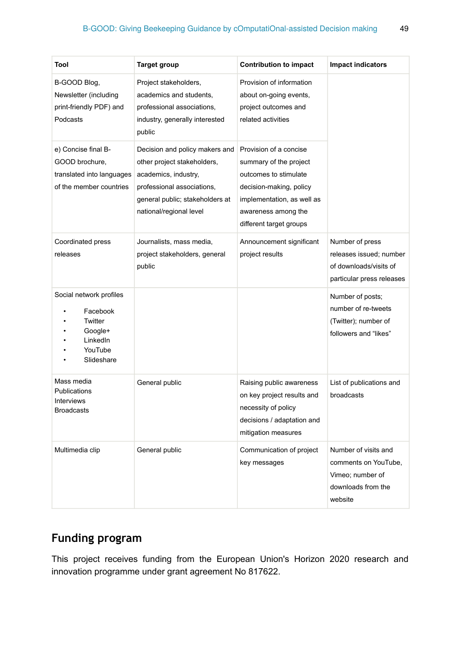| Tool                                                                                           | <b>Target group</b>                                                                                                                                                               | <b>Contribution to impact</b>                                                                                                                                                        | <b>Impact indicators</b>                                                                          |
|------------------------------------------------------------------------------------------------|-----------------------------------------------------------------------------------------------------------------------------------------------------------------------------------|--------------------------------------------------------------------------------------------------------------------------------------------------------------------------------------|---------------------------------------------------------------------------------------------------|
| B-GOOD Blog,<br>Newsletter (including<br>print-friendly PDF) and<br>Podcasts                   | Project stakeholders,<br>academics and students,<br>professional associations,<br>industry, generally interested<br>public                                                        | Provision of information<br>about on-going events,<br>project outcomes and<br>related activities                                                                                     |                                                                                                   |
| e) Concise final B-<br>GOOD brochure,<br>translated into languages<br>of the member countries  | Decision and policy makers and<br>other project stakeholders,<br>academics, industry,<br>professional associations,<br>general public; stakeholders at<br>national/regional level | Provision of a concise<br>summary of the project<br>outcomes to stimulate<br>decision-making, policy<br>implementation, as well as<br>awareness among the<br>different target groups |                                                                                                   |
| Coordinated press<br>releases                                                                  | Journalists, mass media,<br>project stakeholders, general<br>public                                                                                                               | Announcement significant<br>project results                                                                                                                                          | Number of press<br>releases issued; number<br>of downloads/visits of<br>particular press releases |
| Social network profiles<br>Facebook<br>Twitter<br>Google+<br>LinkedIn<br>YouTube<br>Slideshare |                                                                                                                                                                                   |                                                                                                                                                                                      | Number of posts;<br>number of re-tweets<br>(Twitter); number of<br>followers and "likes"          |
| Mass media<br><b>Publications</b><br><b>Interviews</b><br><b>Broadcasts</b>                    | General public                                                                                                                                                                    | Raising public awareness<br>on key project results and<br>necessity of policy<br>decisions / adaptation and<br>mitigation measures                                                   | List of publications and<br>broadcasts                                                            |
| Multimedia clip                                                                                | General public                                                                                                                                                                    | Communication of project<br>key messages                                                                                                                                             | Number of visits and<br>comments on YouTube,<br>Vimeo; number of<br>downloads from the<br>website |

# **Funding program**

This project receives funding from the European Union's Horizon 2020 research and innovation programme under grant agreement No 817622.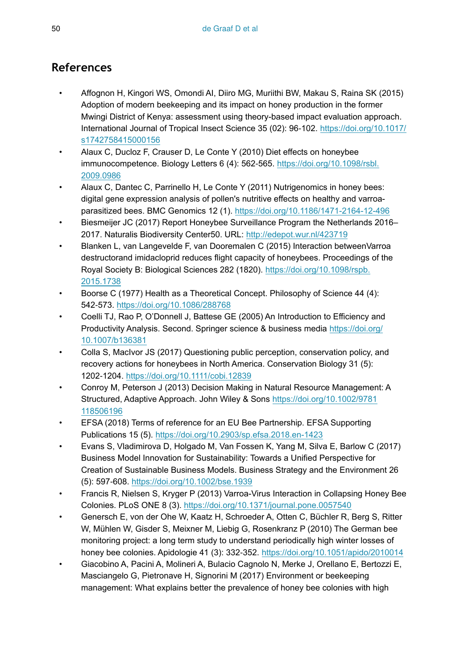# **References**

- <span id="page-49-7"></span>• Affognon H, Kingori WS, Omondi AI, Diiro MG, Muriithi BW, Makau S, Raina SK (2015) Adoption of modern beekeeping and its impact on honey production in the former Mwingi District of Kenya: assessment using theory-based impact evaluation approach. International Journal of Tropical Insect Science 35 (02): 96‑102. [https://doi.org/10.1017/](https://doi.org/10.1017/s1742758415000156) [s1742758415000156](https://doi.org/10.1017/s1742758415000156)
- <span id="page-49-11"></span>• Alaux C, Ducloz F, Crauser D, Le Conte Y (2010) Diet effects on honeybee immunocompetence. Biology Letters 6 (4): 562-565. [https://doi.org/10.1098/rsbl.](https://doi.org/10.1098/rsbl.2009.0986) [2009.0986](https://doi.org/10.1098/rsbl.2009.0986)
- <span id="page-49-4"></span>• Alaux C, Dantec C, Parrinello H, Le Conte Y (2011) Nutrigenomics in honey bees: digital gene expression analysis of pollen's nutritive effects on healthy and varroaparasitized bees. BMC Genomics 12 (1). <https://doi.org/10.1186/1471-2164-12-496>
- <span id="page-49-3"></span>• Biesmeijer JC (2017) Report Honeybee Surveillance Program the Netherlands 2016– 2017. Naturalis Biodiversity Center50. URL:<http://edepot.wur.nl/423719>
- <span id="page-49-5"></span>• Blanken L, van Langevelde F, van Dooremalen C (2015) Interaction betweenVarroa destructorand imidacloprid reduces flight capacity of honeybees. Proceedings of the Royal Society B: Biological Sciences 282 (1820). [https://doi.org/10.1098/rspb.](https://doi.org/10.1098/rspb.2015.1738) [2015.1738](https://doi.org/10.1098/rspb.2015.1738)
- <span id="page-49-0"></span>• Boorse C (1977) Health as a Theoretical Concept. Philosophy of Science 44 (4): 542‑573. <https://doi.org/10.1086/288768>
- <span id="page-49-9"></span>• Coelli TJ, Rao P, O'Donnell J, Battese GE (2005) An Introduction to Efficiency and Productivity Analysis. Second. Springer science & business media [https://doi.org/](https://doi.org/10.1007/b136381) [10.1007/b136381](https://doi.org/10.1007/b136381)
- <span id="page-49-8"></span>• Colla S, MacIvor JS (2017) Questioning public perception, conservation policy, and recovery actions for honeybees in North America. Conservation Biology 31 (5): 1202‑1204.<https://doi.org/10.1111/cobi.12839>
- <span id="page-49-12"></span>• Conroy M, Peterson J (2013) Decision Making in Natural Resource Management: A Structured, Adaptive Approach. John Wiley & Sons [https://doi.org/10.1002/9781](https://doi.org/10.1002/9781118506196) [118506196](https://doi.org/10.1002/9781118506196)
- <span id="page-49-13"></span>• EFSA (2018) Terms of reference for an EU Bee Partnership. EFSA Supporting Publications 15 (5). <https://doi.org/10.2903/sp.efsa.2018.en-1423>
- <span id="page-49-10"></span>• Evans S, Vladimirova D, Holgado M, Van Fossen K, Yang M, Silva E, Barlow C (2017) Business Model Innovation for Sustainability: Towards a Unified Perspective for Creation of Sustainable Business Models. Business Strategy and the Environment 26 (5): 597‑608. <https://doi.org/10.1002/bse.1939>
- <span id="page-49-2"></span>• Francis R, Nielsen S, Kryger P (2013) Varroa-Virus Interaction in Collapsing Honey Bee Colonies. PLoS ONE 8 (3). <https://doi.org/10.1371/journal.pone.0057540>
- <span id="page-49-1"></span>• Genersch E, von der Ohe W, Kaatz H, Schroeder A, Otten C, Büchler R, Berg S, Ritter W, Mühlen W, Gisder S, Meixner M, Liebig G, Rosenkranz P (2010) The German bee monitoring project: a long term study to understand periodically high winter losses of honey bee colonies. Apidologie 41 (3): 332‑352. <https://doi.org/10.1051/apido/2010014>
- <span id="page-49-6"></span>• Giacobino A, Pacini A, Molineri A, Bulacio Cagnolo N, Merke J, Orellano E, Bertozzi E, Masciangelo G, Pietronave H, Signorini M (2017) Environment or beekeeping management: What explains better the prevalence of honey bee colonies with high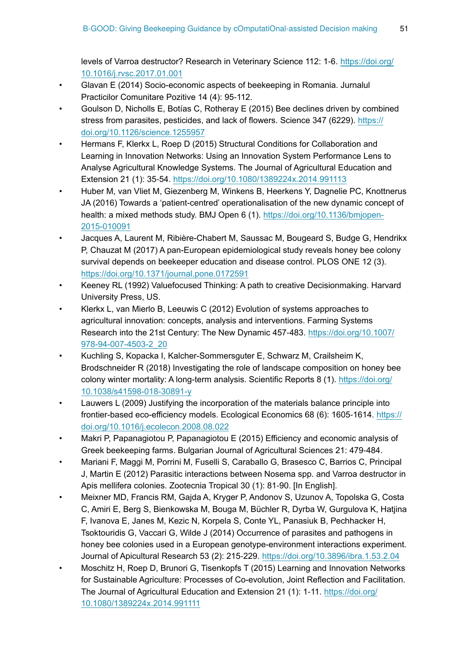levels of Varroa destructor? Research in Veterinary Science 112: 1‑6. [https://doi.org/](https://doi.org/10.1016/j.rvsc.2017.01.001) [10.1016/j.rvsc.2017.01.001](https://doi.org/10.1016/j.rvsc.2017.01.001)

- <span id="page-50-5"></span>• Glavan E (2014) Socio-economic aspects of beekeeping in Romania. Jurnalul Practicilor Comunitare Pozitive 14 (4): 95‑112.
- <span id="page-50-1"></span>• Goulson D, Nicholls E, Botías C, Rotheray E (2015) Bee declines driven by combined stress from parasites, pesticides, and lack of flowers. Science 347 (6229). [https://](https://doi.org/10.1126/science.1255957) [doi.org/10.1126/science.1255957](https://doi.org/10.1126/science.1255957)
- <span id="page-50-12"></span>• Hermans F, Klerkx L, Roep D (2015) Structural Conditions for Collaboration and Learning in Innovation Networks: Using an Innovation System Performance Lens to Analyse Agricultural Knowledge Systems. The Journal of Agricultural Education and Extension 21 (1): 35‑54. <https://doi.org/10.1080/1389224x.2014.991113>
- <span id="page-50-2"></span>• Huber M, van Vliet M, Giezenberg M, Winkens B, Heerkens Y, Dagnelie PC, Knottnerus JA (2016) Towards a 'patient-centred' operationalisation of the new dynamic concept of health: a mixed methods study. BMJ Open 6 (1). [https://doi.org/10.1136/bmjopen-](https://doi.org/10.1136/bmjopen-2015-010091)[2015-010091](https://doi.org/10.1136/bmjopen-2015-010091)
- <span id="page-50-0"></span>• Jacques A, Laurent M, Ribière-Chabert M, Saussac M, Bougeard S, Budge G, Hendrikx P, Chauzat M (2017) A pan-European epidemiological study reveals honey bee colony survival depends on beekeeper education and disease control. PLOS ONE 12 (3). <https://doi.org/10.1371/journal.pone.0172591>
- <span id="page-50-9"></span>• Keeney RL (1992) Valuefocused Thinking: A path to creative Decisionmaking. Harvard University Press, US.
- <span id="page-50-11"></span>• Klerkx L, van Mierlo B, Leeuwis C (2012) Evolution of systems approaches to agricultural innovation: concepts, analysis and interventions. Farming Systems Research into the 21st Century: The New Dynamic 457-483. [https://doi.org/10.1007/](https://doi.org/10.1007/978-94-007-4503-2_20) [978-94-007-4503-2\\_20](https://doi.org/10.1007/978-94-007-4503-2_20)
- <span id="page-50-8"></span>• Kuchling S, Kopacka I, Kalcher-Sommersguter E, Schwarz M, Crailsheim K, Brodschneider R (2018) Investigating the role of landscape composition on honey bee colony winter mortality: A long-term analysis. Scientific Reports 8 (1). [https://doi.org/](https://doi.org/10.1038/s41598-018-30891-y) [10.1038/s41598-018-30891-y](https://doi.org/10.1038/s41598-018-30891-y)
- <span id="page-50-7"></span>Lauwers L (2009) Justifying the incorporation of the materials balance principle into frontier-based eco-efficiency models. Ecological Economics 68 (6): 1605-1614. [https://](https://doi.org/10.1016/j.ecolecon.2008.08.022) [doi.org/10.1016/j.ecolecon.2008.08.022](https://doi.org/10.1016/j.ecolecon.2008.08.022)
- <span id="page-50-6"></span>• Makri P, Papanagiotou P, Papanagiotou E (2015) Efficiency and economic analysis of Greek beekeeping farms. Bulgarian Journal of Agricultural Sciences 21: 479‑484.
- <span id="page-50-4"></span>• Mariani F, Maggi M, Porrini M, Fuselli S, Caraballo G, Brasesco C, Barrios C, Principal J, Martin E (2012) Parasitic interactions between Nosema spp. and Varroa destructor in Apis mellifera colonies. Zootecnia Tropical 30 (1): 81‑90. [In English].
- <span id="page-50-3"></span>• Meixner MD, Francis RM, Gajda A, Kryger P, Andonov S, Uzunov A, Topolska G, Costa C, Amiri E, Berg S, Bienkowska M, Bouga M, Büchler R, Dyrba W, Gurgulova K, Hatjina F, Ivanova E, Janes M, Kezic N, Korpela S, Conte YL, Panasiuk B, Pechhacker H, Tsoktouridis G, Vaccari G, Wilde J (2014) Occurrence of parasites and pathogens in honey bee colonies used in a European genotype-environment interactions experiment. Journal of Apicultural Research 53 (2): 215‑229.<https://doi.org/10.3896/ibra.1.53.2.04>
- <span id="page-50-10"></span>• Moschitz H, Roep D, Brunori G, Tisenkopfs T (2015) Learning and Innovation Networks for Sustainable Agriculture: Processes of Co-evolution, Joint Reflection and Facilitation. The Journal of Agricultural Education and Extension 21 (1): 1‑11. [https://doi.org/](https://doi.org/10.1080/1389224x.2014.991111) [10.1080/1389224x.2014.991111](https://doi.org/10.1080/1389224x.2014.991111)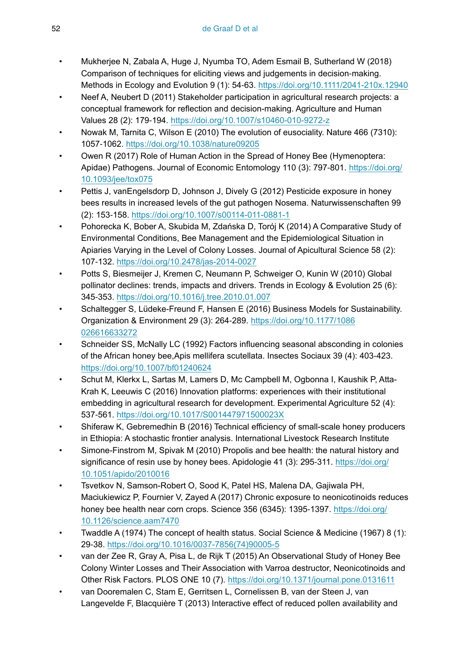- <span id="page-51-13"></span>• Mukherjee N, Zabala A, Huge J, Nyumba TO, Adem Esmail B, Sutherland W (2018) Comparison of techniques for eliciting views and judgements in decision‐making. Methods in Ecology and Evolution 9 (1): 54‑63. <https://doi.org/10.1111/2041-210x.12940>
- <span id="page-51-15"></span>• Neef A, Neubert D (2011) Stakeholder participation in agricultural research projects: a conceptual framework for reflection and decision-making. Agriculture and Human Values 28 (2): 179‑194. <https://doi.org/10.1007/s10460-010-9272-z>
- <span id="page-51-2"></span>• Nowak M, Tarnita C, Wilson E (2010) The evolution of eusociality. Nature 466 (7310): 1057‑1062.<https://doi.org/10.1038/nature09205>
- <span id="page-51-6"></span>• Owen R (2017) Role of Human Action in the Spread of Honey Bee (Hymenoptera: Apidae) Pathogens. Journal of Economic Entomology 110 (3): 797‑801. [https://doi.org/](https://doi.org/10.1093/jee/tox075) [10.1093/jee/tox075](https://doi.org/10.1093/jee/tox075)
- <span id="page-51-5"></span>Pettis J, vanEngelsdorp D, Johnson J, Dively G (2012) Pesticide exposure in honey bees results in increased levels of the gut pathogen Nosema. Naturwissenschaften 99 (2): 153‑158. <https://doi.org/10.1007/s00114-011-0881-1>
- <span id="page-51-7"></span>• Pohorecka K, Bober A, Skubida M, Zdańska D, Torój K (2014) A Comparative Study of Environmental Conditions, Bee Management and the Epidemiological Situation in Apiaries Varying in the Level of Colony Losses. Journal of Apicultural Science 58 (2): 107‑132. <https://doi.org/10.2478/jas-2014-0027>
- <span id="page-51-0"></span>• Potts S, Biesmeijer J, Kremen C, Neumann P, Schweiger O, Kunin W (2010) Global pollinator declines: trends, impacts and drivers. Trends in Ecology & Evolution 25 (6): 345‑353. <https://doi.org/10.1016/j.tree.2010.01.007>
- <span id="page-51-9"></span>• Schaltegger S, Lüdeke-Freund F, Hansen E (2016) Business Models for Sustainability. Organization & Environment 29 (3): 264‑289. [https://doi.org/10.1177/1086](https://doi.org/10.1177/1086026616633272) [026616633272](https://doi.org/10.1177/1086026616633272)
- <span id="page-51-12"></span>• Schneider SS, McNally LC (1992) Factors influencing seasonal absconding in colonies of the African honey bee,Apis mellifera scutellata. Insectes Sociaux 39 (4): 403‑423. <https://doi.org/10.1007/bf01240624>
- <span id="page-51-14"></span>• Schut M, Klerkx L, Sartas M, Lamers D, Mc Campbell M, Ogbonna I, Kaushik P, Atta-Krah K, Leeuwis C (2016) Innovation platforms: experiences with their institutional embedding in agricultural research for development. Experimental Agriculture 52 (4): 537‑561. <https://doi.org/10.1017/S001447971500023X>
- <span id="page-51-8"></span>• Shiferaw K, Gebremedhin B (2016) Technical efficiency of small-scale honey producers in Ethiopia: A stochastic frontier analysis. International Livestock Research Institute
- <span id="page-51-11"></span>• Simone-Finstrom M, Spivak M (2010) Propolis and bee health: the natural history and significance of resin use by honey bees. Apidologie 41 (3): 295-311. [https://doi.org/](https://doi.org/10.1051/apido/2010016) [10.1051/apido/2010016](https://doi.org/10.1051/apido/2010016)
- <span id="page-51-4"></span>• Tsvetkov N, Samson-Robert O, Sood K, Patel HS, Malena DA, Gajiwala PH, Maciukiewicz P, Fournier V, Zayed A (2017) Chronic exposure to neonicotinoids reduces honey bee health near corn crops. Science 356 (6345): 1395-1397. [https://doi.org/](https://doi.org/10.1126/science.aam7470) [10.1126/science.aam7470](https://doi.org/10.1126/science.aam7470)
- <span id="page-51-1"></span>• Twaddle A (1974) The concept of health status. Social Science & Medicine (1967) 8 (1): 29‑38. [https://doi.org/10.1016/0037-7856\(74\)90005-5](https://doi.org/10.1016/0037-7856(74)90005-5)
- <span id="page-51-3"></span>• van der Zee R, Gray A, Pisa L, de Rijk T (2015) An Observational Study of Honey Bee Colony Winter Losses and Their Association with Varroa destructor, Neonicotinoids and Other Risk Factors. PLOS ONE 10 (7). <https://doi.org/10.1371/journal.pone.0131611>
- <span id="page-51-10"></span>• van Dooremalen C, Stam E, Gerritsen L, Cornelissen B, van der Steen J, van Langevelde F, Blacquière T (2013) Interactive effect of reduced pollen availability and